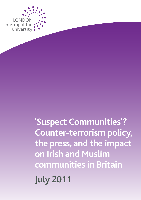

**'Suspect Communities'? Counter-terrorism policy, the press, and the impact on Irish and Muslim communities in Britain**

**July 2011**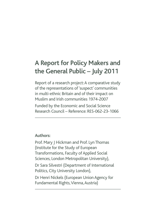# **A Report for Policy Makers and the General Public – July 2011**

Report of a research project: A comparative study of the representations of 'suspect' communities in multi-ethnic Britain and of their impact on Muslim and Irish communities 1974-2007

Funded by the Economic and Social Science Research Council – Reference: RES-062-23-1066

# **Authors:**

Prof. Mary J Hickman and Prof. Lyn Thomas (Institute for the Study of European Transformations, Faculty of Applied Social Sciences, London Metropolitan University),

Dr Sara Silvestri (Department of International Politics, City University London),

Dr Henri Nickels (European Union Agency for Fundamental Rights, Vienna, Austria)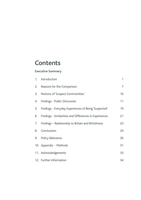# **Contents**

# **Executive Summary**

| 1. | Introduction                                           | $\mathbf{1}$    |
|----|--------------------------------------------------------|-----------------|
| 2. | Reasons for the Comparison                             | $\overline{7}$  |
| 3. | Notions of 'Suspect Communities'                       | 10 <sup>°</sup> |
| 4. | <b>Findings - Public Discourses</b>                    | 11              |
| 5. | Findings - Everyday Experiences of Being 'Suspected'   | 19              |
| 6. | Findings - Similarities and Differences in Experiences | 21              |
| 7. | Findings – Relationship to Britain and Britishness     | 23              |
| 8. | Conclusions                                            | 24              |
| 9. | <b>Policy Relevance</b>                                | 26              |
|    | 10. Appendix - Methods                                 | 31              |
|    | 11. Acknowledgements                                   | 33              |
|    | 12. Further Information                                | 34              |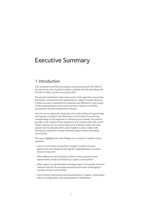# **Executive Summary**

### 1. Introduction

This comparative and historical project, covering the period 1974-2007, is focused on two eras of political violence in Britain, the first coinciding with the Irish 'Troubles' and the second since 2001.

The research examined to what extent and in what ways Irish communities and Muslim communities were represented as 'suspect' in public discourse in these two eras; it examined the similarities and differences in the impact of these representations and counter-terrorism measures on Muslim communities and Irish communities in Britain.

Our aim was to explore the implications for social cohesion of representing some groups as 'suspect' and what lessons can be learnt from evolving understandings of and responses to national security threats. The research provides a new analysis of Irish experiences and compares this with current Muslim experiences. Our critical assessment of British counter-terrorism policies over four decades offers useful insights to policy-makers who seek ways to implement counter-terrorism policies without alienating communities.

This report highlights the main findings of our research in relation to four questions:

- How is a community constructed as 'suspect' in public discourse (government and media) and through the implementation of counterterrorism measures?
- What differences and similarities are there in the construction and representation of Irish and Muslims as 'suspect' communities?
- What impacts do representations of being 'suspect' and counter-terrorism measures have for the everyday experiences and sense of belonging of members of these communities?
- How do these constructions and representations of 'suspect' communities inform reconfigurations and representations of Britishness?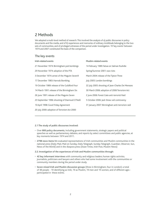## 2 Methods

We adopted a multi-level method of research. This involved the analysis of a) public discourses in policy documents and the media, and of b) experiences and memories of ordinary invididuals belonging to the two sets of communities, and of privileged witnesses of the period under investigation. 19 'key events' between 1974 and 2007 constituted the basis of the comparison.

#### The key events

| <b>Irish-related events</b>                     | <b>Muslim-related events</b>                      |
|-------------------------------------------------|---------------------------------------------------|
| 21 November 1974: Birmingham pub bombings       | 14 February 1989: fatwa on Salman Rushdie         |
| 29 November 1974: adoption of the PTA           | Spring/Summer 2001: race riots                    |
| 3 December 1974: arrest of the Maguire Seven9   | March 2004: release of the Tipton Three           |
| 17 December 1983: Harrods Bombing               | July 2005: London bombings                        |
| 19 October 1989: release of the Guildford Four  | 22 July 2005: shooting of Jean-Charles De Menezes |
| 14 March 1991: release of the Birmingham Six    | 30 March 2006: adoption of 2006 Terrorism Act     |
| 26 June 1991: release of the Maguire Seven      | 2 June 2006: Forest Gate anti-terrorist Raid      |
| 23 September 1996: shooting of Diarmuid O'Neill | 5 October 2006: Jack Straw veil controversy       |
| 10 April 1998: Good Friday Agreement            | 31 January 2007: Birmingham anti-terrorism raid   |
| 20 July 2000: adoption of Terrorism Act 2000    |                                                   |

**2.1 The study of public discourses involved:**

- Over **800 policy documents,** including government statements, strategic papers and political speeches as well as parliamentary debates, and reports by select committees and public agencies, at key moments between 1974 and 2011.
- **2798 news items** We evaluated representations of Irish communities and Muslim communities in the national press (Daily Mail, Mail on Sunday, Daily Telegraph, Sunday Telegraph, Guardian, Observer, Sun, News of the World) and in the diaspora press (Asian Times, Irish Post, Muslim News)
- **2.2. Investigation of the experiences of Irish and Muslim communities through:**
- **42 key informant interviews** with community and religious leaders; human rights activists; journalists, politicians and lawyers and others who had some involvement with the communities or community members during the period under study.
- **Seven mixed Irish and Muslim discussion groups** (three in Birmingham, four in London): a total of 38 people - 19 identifying as Irish, 19 as Muslim, 19 men and 19 women, and of different ages participated in these events.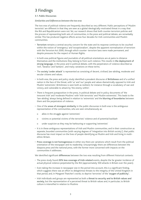# 3 Findings

#### **3.1. Public Discourses**

#### *Similarities and Differences between the two eras*

The two eras of political violence are frequently described as very different. Public perceptions of 'Muslim terrorists' are different in that they are seen as a global ideologically-motivated threat in a way that the IRA and Republicanism were not. Yet, our research shows that both counter-terrorism policies and the process of representing both sets of communities, in the press and political debate, are remarkably similar. This has produced negative effects across four decades for Irish communities and Muslim communities.

- **Terrorism** remains a central security concern for the state and its response continues to be couched within the notion of 'emergency' and 'exceptionalism', despite the apparent normalisation of terrorism with the Terrorism Act 2000, through which counter- terrorism laws were made permanent, and despite pressures for the respect of Human Rights.
- In both eras political figures and journalists of all political orientations are at pains to distance themselves and the institutions they belong to from such violence. This results in **the deployment of strong language,** in the press and in political debate, with the perpetrators of violence described as 'evil', 'fanatics' and 'barbaric', and many variations on these terms.
- The **society 'under attack'** is represented as consisting of decent, civilised, law-abiding, moderate and secular citizens and values.
- In both eras, the press and policy study identified a prevalent discourse of **Britishness** and of a unified nation in the face of the threat, with 'us' and 'our' people and values diametrically opposed to Irish and Muslim 'extremists'; Britishness is seen both as resilient, for instance through a vocabulary of war and victory, and vulnerable to attack by 'the enemy within'.
- There is frequent juxtaposition in the press, in political debate and in policy documents of 'the innocent Irish' and 'moderate Muslims' with 'Irish terrorists' and 'Muslim extremists'. This leads to the 'law-abiding' always being defined in relation to 'extremists' and the **blurring of boundaries** between them and the perpetrators of violence.
- One of the **areas of strongest similarity** in the public discourses in both eras is the ambiguous representation of the communities, who are seen simultaneously as:
	- o allies in the struggle against 'extremists'
	- o victims or potential victims of the terrorists' violence and of potential backlash
	- o under suspicion as they may be harbouring or supporting 'extremists'
- It is in these ambiguous representations of Irish and Muslim communities, and in their construction as separate, bounded communities (with varying degrees of 'integration into British society'), that public discourse has most impact on the lives of people identifying as Muslim and Irish and living in multiethnic Britain.
- **Press coverage is not homogeneous** in either era; there are variations which result from the political orientation of the newspaper and its readership. Unsurprisingly there are differences between the diaspora press and the national press, with the former more concerned with impacts on the communities it addresses.

We identified significant **differences** between the two eras resulting from different historical contexts:

- The press study found **20% less coverage of Irish-related** events, despite the far greater incidence of actual physical violence perpetrated by the IRA (approximately 500 attacks in Britain over the years).
- Even taking the increase in newspaper size in the period into account, this is a significant finding, which suggests there was an effort to delegitimise threats to the integrity of the United Kingdom in that period, and, in Margaret Thatcher's words, to deprive 'terrorists' of the **'oxygen of publicity'.**
- Irish individuals and groups are represented as both a **threat to security and to British values and society,** but the representation of a perceived threat to British values and, in particular, to British culture is intensified in relation to Muslims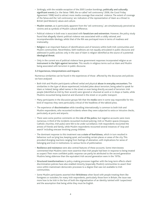- Strikingly, with the notable exception of the 2005 London bombings, **politically and culturally significant events** (i.e. the fatwa 1989, the so-called 'veil controversy' 2006, the Good Friday Agreement 1998) tend to attract more media coverage than enacted violence. The extent of coverage of the fatwa and the 'veil controversy' are indicators of the representation of Islam as a threat to British (and Western) values and culture.
- **Muslim women**, as is particularly apparent from the 'veil controversy', are simultaneously perceived as victims and as symbols of Muslim cultural difference.
- Political violence in both eras is associated with **fanaticism and extremism**. However, the policy study found that allegedly Islamic political violence was associated with a coldly rational, and incomprehensible ideology, whilst that of the IRA was portrayed more in terms of madness and irrationality.
- **Religion** is an important feature of identifications and of tensions within both Irish communities and Muslim communities. Nevertheless, faith traditions are not equally articulated in public discourse and addressed in public policies: only in the case of Islam is religion identified as the source of a potential **ideological threat.**
- Only in the current era of political violence have government responses incorporated religion as an **instrument in the fight against terrorism.** This results in religious terms such as Islam and Muslim being associated with terrorism in public discourse.

#### **3.2 Experiences, Interpretations and Impacts**

Numerous similarities can be found in the experiences of those affected by the discourses and policies we have analysed:

- Both Irish and Muslim participants suffered verbal and physical **abuse in everyday encounters**. The similarities in the type of abuse experienced, included jokes about terrorism, being asked to speak for Islam or Ireland, being called names in the street or even being directly accused of terrorism. Irish people (identified as Irish by their accent) were ignored or shunned at work or in shops or banks, while Muslims recounted being stared at and shunned in the street or on public transport.
- Many participants in the discussion groups felt that the **media** were in some way responsible for this kind of response; they were particularly critical of the headlines of the tabloid press.
- The experience of **discrimination** while travelling internationally is common to both Irish and Muslim respondents, who recounted incidents where they were subjected to extra or intrusive checks, particularly at ports and airports.
- There were some positive comments on the **role of the police,** but negative accounts were more numerous. A third of the incidents recounted involved policing. Irish or Muslim spaces (mosques, Catholic churches, Irish pubs) were felt to be under surveillance. Irish respondents recounted the arrests of friends and family, while Muslim respondents recounted several instances of 'stop and search' including onecase involving young children.
- The dominant response to this treatment was **a state of fearfulness,** which in turn resulted in behaviour such as lying low, keeping quiet, and avoiding certain places or areas of the city. This provoked diverging reactions ranging from feelings of alienation, with implications for sense of belonging and trust in institutions. to various forms of politicisation.
- **Resilience and resistance** were also central features of these accounts. Some interviewees commented that Muslims were more assertive than Irish people had been in response to being treated as suspect Their more confident public response can partly be attributed to the second generation Muslims being oldernow than the equivalent Irish second generation were in the 1970s.
- **Structural transformations** in policy-making processes together with the long-term effects ofanti discrimination policies have also enabled minority (especially Muslim) communities to assert their voice within mainstream democratic processes to a degree that was not available to Irish communities.
- Some Muslim participants asserted their **Britishness** when faced with people treating them like foreigners or outsiders; for many Irish respondents, particularly those born in Britain, the issue was more how to be Irish in the face of both the stigmatisation of an identity tainted with 'suspectness' and the assumption that being white they must be English.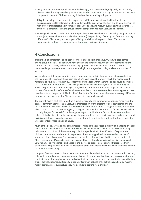- Many Irish and Muslim respondents identified strongly with the culturally, religiously and ethnically **diverse cities** that they were living in. For many Muslim respondents the city represented a safer space compared to the rest of Britain, in a way it had not been for Irish participants.
- This pride in being part of these cities expressed itself in **practices of multiculturalism.** In the discussion groups attempts were made to understand the experience of others and to build bridges. The high level of trust established in some groups allowed people to recount quite disturbing experiences. There was a consensus in all the groups that the comparison had been useful and beneficial.
- Bringing Irish people together with Muslim people was also useful because the Irish participants spoke about (and in fact where the actual embodiment of) the possibility of coming out from the category of 'suspect', of becoming 'normal' again, of being **rehabilitated as good citizens.** This was an important sign of hope, a reassuring factor for many Muslim participants.

### 4 Conclusions

This is the first comparative and historical project engaging simultaneously with two large ethnic and religious minorities in Britain who have been at the centre of security policy concerns for several decades. Our multi-level, and multi-disciplinary, approach has enabled us to contribute to the understanding of interconnected issues that are high on the agenda of policy makers in a number of sectors.

We conclude that the representations and treatment of the Irish in the past have set a precedent for the treatment of Muslims in the current period. We have traced the way in which the reactions and responses to political violence in 1974 clearly had embedded within them the principles, and gave rise to, the prevention measures that have been practised on an even more systematic scale throughout the 2000s. Despite anti-discrimination legislation, Muslim communities today are subjected to a similar process of construction as 'suspect' as Irish communities in the previous era. Few lessons appear to have been learnt from the period of 'The Troubles', despite the fact that those who were previously vilified are now part of the government in Northern Ireland with electoral support.

The current government has stated that it seeks to separate the community cohesion agenda from the counter-terrorism agenda. This is useful but their location of the problem of political violence and the focus of counter-terrorism remains fixed on Muslim communities and a strategy of rooting out extreme ideas. This is a classic counter-insurgency strategy of the type that was unsuccessful in Northern Ireland. It is only likely to further reinforce the negative impacts on Muslims in Britain of counter-terrorism policies. It is also likely to further encourage the public at large, on this evidence, both to be more fearful (as it is rarely linked to any transparent assessment of risk) and therefore to treat Muslims as potential 'suspects' or legitimate objects of abuse.

Much of the policy attention has been directed towards to the supposed difficulty of managing diversity and Islamism. The empathetic connections established between participants in the discussion groups indicate the limitations of the community cohesion agenda with its identification of separate and distinct 'communities' as the site of the problem of preventing political violence and as the site of strategies of social cohesion. The main counteracting force that we identified to a categorisation of Muslims as potential 'suspects' lay in the cosmopolitanism that characterises places like London and Birmingham. The sympathetic exchanges in the discussion groups demonstrated this repeatedly. If discourses of 'suspectness' were not so widespread perhaps deeper connections would also develop with the majority ethnic group.

It appears from our research that a major concern for public authorities should be to ensure that security policies do not isolate and threaten communities and do not undermine their trust in state institutions and their sense of belonging. We have indicated that there are many more continuities between the two eras of political violence, particularly in counter-terrorism policies, than politicians and policy makers readily admit. A more successful policy would involve learning from this past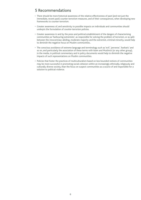# 5 Recommendations

- There should be more historical awareness of the relative effectiveness of past (and not just the immediate, recent past) counter-terrorism measures, and of their consequences, when developing new frameworks to counter-terrorism.
- Greater awareness of, and sensitivity to possible impacts on individuals and communities should underpin the formulation of counter-terrorism policies.
- Greater awareness in and by the press and political establishment of the dangers of characterising communities as 'harbouring extremists', as responsible for solving the problem of terrorism, or as split between the innocent,law-abiding, moderate majority and the extremist, criminal minority, would help to diminish the negative focus on Muslim communities..
- The conscious avoidance of extreme language and terminology such as 'evil', 'perverse', 'barbaric' and so on, and particularly the association of these terms with Islam and Muslim/s (or any other group), in the media, in political commentary and in policy documents would help to diminish the negative impacts of such representations on Muslim communities.
- Policies that foster the practices of multiculturalism based on less bounded notions of communities may be more successful in promoting social cohesion within an increasingly ethnically, religiously and culturally diverse society, than the focus on suspect communities as a source of and responsible for a solution to political violence.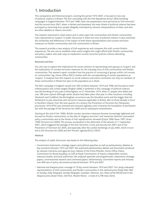## 1. Introduction

This comparative and historical project, covering the period 1974-2007, is focused on two eras of political violence in Britain. The first coinciding with the Irish Republican Army's (IRA) bombing campaigns in England between 1973 and 1996, when the perpetrators were perceived as 'Irish terrorists'. And the second since 2001, when, in Britain and elsewhere, the main threat of political violence has been portrayed as stemming from people allegedly motivated by extreme interpretations of Islam, and who are often labelled as 'Islamic terrorists'.

The research examined to what extent and in what ways Irish communities and Muslim communities were represented as 'suspect' in public discourses in these two eras of political violence. It also examined the similarities and differences in the impact of both these representations and counter-terrorism measures on Muslim communities and Irish communities in Britain.

The research provides a new analysis of Irish experiences and compares this with current Muslim experiences. The aim was to establish what useful insights this might afford both Muslim communities and policy makers who seek ways to implement counter-terrorism policies without alienating communities.

#### *Rationale and Aims*

Our aim was to explore the implications for social cohesion of representing some groups as 'suspect' and the implications of counter-terrorism measures for the everyday lives of Irish communities and Muslim communities. This research report considers how the practice of conceiving of groups within civil society as 'communities' (eg. Home Office 2001) meshes with the conceptualising of certain populations as 'suspect'. It analyses how this impacts on social cohesion and exerts constraints not only on members of these communities in Britain but also on the population as a whole.

The IRA's campaign in England caused over 500 incidents between 1973 and 1996 and focused on both military/police and civilian targets (English 2006). A landmark in this campaign of political violence was the bombing of two pubs in Birmingham, on 21 November 1974, when 21 people were killed and over 180 were injured. Although earlier attacks had taken place that year in other locations, including Woolwich and Guildford, the Birmingham occurrence was the bloodiest event and the trigger that led Parliament to pass draconian anti-terrorism measures applicable in Britain, akin to those already in force in Northern Ireland. Over the next quarter of a century the Prevention of Terrorism Act (Temporary provisions) 1974 (PTA) was reviewed and renewed regularly until it became the foundation of permanent law with the passage of the Terrorism Act 2000 and its subsequent amendments.

Starting at the end of the 1990s, British counter-terrorism measures became increasingly tightened and focused on Muslim communities, as the idea of 'religious terrorism' and 'extremist Islamism' permeated policy communities and as the threat of Irish republicanism retreated (Lloyd 1996; Rowe 1997; Straw 1999; Terrorism Act 2000). This process accelerated in the aftermath of the attacks of 11 September 2001, which triggered the passage of the Anti-Terrorism, Crime and Security Act 2001 and of the Prevention of Terrorism Act 2005, and especially after the London bombings of July 2005, which in turn led to the Terrorism Act 2006 and the 'Prevent' agenda (DCLG 2007).

#### *Methods*

The analysis of public discourses was based on the following data:

- Government statements, strategic papers and political speeches as well as parliamentary debates at key moments between 1974 and 2007. We examined parliamentary debate and documents produced by relevant ministries and agencies (e.g. Cabinet of the Prime Minister, Home Office; Police; Commission for Racial Equality), as well as Royal Commissions of Inquiry, independent reviews, statutory bodies, and local authorities. We analysed speeches and programmatic statements, strategic papers, commissioned research and command papers, Parliamentary committee reports and minutes: over 800 sets of policy documents produced between 1974 and 2007.
- National and diaspora press coverage of 19 key events between 1974 and 2007. Our study evaluated representations of Irish communities and Muslim communities in the national press (*Daily Mail, Mail on Sunday, Daily Telegraph, Sunday Telegraph, Guardian, Observer, Sun, News of the World*) and in the diaspora press (*Asian Times, Irish Post, Muslim News*) - a total of 2,798 news items.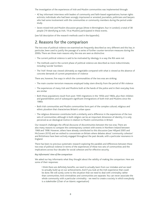The investigation of the experiences of Irish and Muslim communities was implemented through:

- 42 key informant interviews with leaders of community and faith-based organisations; human rights activists; individuals who had been wrongly imprisoned or arrested; journalists, politicians and lawyers who had some involvement with the communities or community members during the period under study.
- Seven mixed Irish and Muslim discussion groups (three in Birmingham, four in London): a total of 38 people (19 identifying as Irish, 19 as Muslim) participated in these events.

(see full description of the research methods used in the Appendix).

# 2. Reasons for the comparison

The two eras of political violence we examined are frequently described as very different and this has, in particular, been used to justify the passage of a series of further counter-terrorism measures during the 2000s. There are three main reasons why the eras are seen as distinctive:

- The current political violence is said to be motivated by ideology in a way the IRA were not
- The methods used in the current phase of political violence are described as more indiscriminate, including 'suicide' bombers
- The 'Irish' threat was viewed ultimately as negotiable compared with what is viewed as the absence of concrete demands of current perpetrators of violence

There are, however, five ways in which the commonalities of the two eras are striking:

- The main counter-terrorism measures employed today stem directly from the period of IRA violence
- The experiences of many Irish and Muslims both at the hands of the police and in their everyday lives are similar
- Both these populations result from post-1945 migrations in the 1950s and 1960s, plus their children and grandchildren; and of subsequent significant immigrations of both Irish and Muslims since the 1980s
- Both Irish communities and Muslim communities form part of the complex cultural, religious and ethnic pluralism that characterises Britain's urban space
- The religious dimension constitutes both a similarity and a difference in the experiences of the two sets of communities: although in both religion can be an important dimension of identity, it is only perceived as an ideological motive in relation to Muslim communities in Britain

Our research challenges the official discourse of discontinuities between the two eras. There are also many reasons to compare the contemporary context with events in Northern Ireland between 1968 and 1998. However, others have already contributed to this discussion (see Hillyard 2005 and McGovern 2010) and we wished to concentrate on Britain where debates about 'community cohesion' and Britishness have been actively engaged throughout the past decade, with a particular resonance in England.

There has been no previous systematic research exploring the parallels and differences between these two eras of political violence in terms of the experiences of these two sets of communities and the implications across four decades for social cohesion and for effective security.

#### *Key informants' view of the comparison*

We asked our key informants what they thought about the validity of making the comparison. Here are some of their responses:

 I think there are definitely benefits, we need to actually learn from our mistakes and we need to actually build up on our achievements. And if you look at the Irish experience that could be done. We will surely come to the situation that we need to deal with criminality rather than communities. And criminalities and communities are separate. You can never associate the whole community with a particular criminality - we need to create a society in which everybody is a stakeholder (Chair of an Islamic organisation)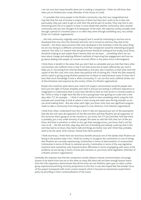I am not sure how many benefits there are in making a comparison. I think we will know that when you've finished your study. (Member of the House of Lords)

… it's possible that some people in the Muslim community may feel very marginalised and may feel that the rest of society is suspicious of them but they don't want to be in that role particularly, they just want to get on with their life and be part of society. They may find it very interesting and a bit of a support to hear in some detail that another community went, another community who are now thought of as being part of the main, the majority society, actually went through a period of a hundred years or so when they went through something very, very similar. (Chair of a Catholic organisation)

… the Irish community originally were [suspect] and it would be interesting to see how we've developed that now since the Seventies and how we've moved on and how they feel at the moment… Are those same practices that were developed in the Seventies is that the same thing we are now doing to a different community. And that comparison would be interesting and good research. Not only is it research that the government should be looking at but locally, local forces should be looking at and maybe there's lessons that we can learn … something which we can learn about change and adopting different methods of improving that engagement and how we go about dealing with people. (A counter-terrorist officer in the police force in Birmingham)

I think there is benefit in the sense that you don't feel so vulnerable and you feel that there other communities who suffered more or less if not that severe but at least suffered like you. And it helps you in recovering from internal despondency. And also, also it teaches us that what were the causes of the IRA crisis, Irish crisis, there was political will of solving this. I think this [the research] will be useful in giving young Muslims perspective of where to stand because many of them don't have that much knowledge in how a white community, if I can use this word, suffered similar sort of discrimination and suspicion by the society. (Chair of a Muslim organisation)

People who would be upset about your notion (of suspect communities) would be people who have just lost sight of human empathy and what it and just are lacking in sufficient experience or imagination to understand what it must have felt like to have an Irish accent in Central London in the 1970s or what it might have felt like to be a young Asian man getting on a tube train a few days after 7/7, for example. … I think it would be useful to have something which using the Irish example and would help us look at where it went wrong and what were the big mistakes so we can avoid making them - But also what went right, you know. How, how was significant progress made to take a community from being suspect to now. (Director, Civil Liberties organisation)

I think from what I understand from this is that it's like erm [pauses] just sort of the assumption that like the Irish were all supportive of the IRA activities and that Muslims are all supportive of this terrorism that's going on at the moment in, you know, the 7/7 [sic] and that. And that there is probably just a very small minority of people, the same as with the Irish, that sort of like pro those. And that is somehow or other to erm, get that message across, you know, that's not the view of all … the IRA and that, okay they did a lot of bombing and nobody could say that in the end they had to sit down, they had to talk and things are better now and I think they probably need to do the same. (Irish woman, retired from NGO position)

I think enormous, I think there are enormous benefits because one of the battles that Muslims are facing in the present state is for, I think for society to recognise the continuities in a lot of things that Muslims are currently experiencing. Continuities in terms of demonisation of communities. Continuities in terms of threat to national security. Continuities in terms of the way legislative reactions have sometimes only fostered further difficulties in terms of grappling with some of the problems we are facing, in terms of knee jerk reactions or, you know, harsh legislation. (Member of a Muslim women's organisation)

Generally the response was that the comparison would: enhance mutual communication; encourage lessons to be learnt from one era to the other as many felt there had not been enough lessons learnt from the Irish experience; demonstrate that all terrorists are not Muslims; open eyes on what a white group experienced and bring minority perspectives to the fore. It was also hoped that the broader focus of this project (compared with much current research which is focused on extremism) would inform policy by providing a richer contextualisation of the issues.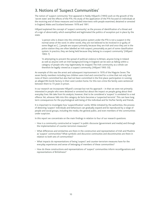# 3. Notions of 'Suspect Communities'

The notion of 'suspect community' first appeared in Paddy Hillyard's (1993) work on the growth of the 'secret state' and the effects of the PTA. His study of the application of the PTA focused on individuals at the receiving end of these measures and included interviews with people examined, detained or arrested in England, Wales and Scotland between 1978 and 1991.

Hillyard explained the concept of 'suspect community' as the process of identification of a threat and of a sign of abnormality which exemplified and legitimated the politics of exception put in place by the state:

 'a person who is drawn into the criminal justice system under the PTA is not a suspect in the normal sense of the word. In other words, they are not believed to be involved in or guilty of some illegal act […] people are suspect primarily because they are Irish and once they are in the police station they are often labelled an Irish suspect, presumably as part of some classification system. In practice, they are being held because they belong to a suspect community' (Hillyard 1993: 7)

 'In attempting to prevent the spread of political violence to Britain, anyone living in Ireland as well as anyone with an Irish background living in England can be seen as falling within a category of people who may legitimately be stopped. The Irish community as a whole can therefore be legally viewed as a suspect community. (Hillyard 1993: 33).

An example of this was the arrest and subsequent imprisonment in 1976 of the Maguire Seven. The seven family members including two children were tried and convicted for a crime that not only had none of them committed but also had not been committed in the first place: participation in running an alleged IRA bomb factory in their west London home. For this non-crime the family were sentenced between them to 73 years in prison.

In our research we incorporate Hillyard's concept but not his approach – in that we were not primarily interested in people who were detained or arrested but about the impact on people going about their everyday lives. We take from his analysis, however, that to be considered a 'suspect' is unrelated to a real offence. Yet, whoever falls into this category de facto becomes a 'suspected terrorist'. This can have long term consequences for the psychological well-being of the individual and for his/her family and friends.

It is important to investigate how 'suspectification' works. While initiated by the authorities, the process of detecting 'suspect' individuals and behaviours can gradually expand and be reproduced by a range of people and social groups, including the media, the general public, and even members of the communities under suspicion.

In this report we concentrate on the main findings in relation to four of our research questions:

- How is a community constructed as 'suspect' in public discourse (government and media) and through the implementation of counter-terrorism measures?
- What differences and similarities are there in the construction and representation of Irish and Muslims as 'suspect' communities? What symbolic and discursive continuities and discontinuities are there in relation to both sets of communities?
- What impacts do representations of being 'suspect' and counter-terrorism measures have for the everyday experiences and sense of belonging of members of these communities?
- How do these constructions and representations of 'suspect' communities inform reconfigurations and representations of Britishness?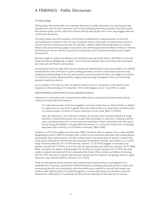# 4. FINDINGS - Public Discourses

#### **4.1 Policy Study**

Official policy documents offer one important dimension of public discourses, not only because they represent the voice of state institutions and of those holding authoritative positions, but also because they produce policy actions, which then impact directly onto people, who in turn may engage with and contest such discourses.

This policy study traces the evolution of the British establishment's characterisations of terrorism and suspectness in relation to the two eras of political violence. Discourses of suspicion are central to the anti-terrorism measures of the last four decades in Britain. Rather than being based on a precise offence, they proceed along a logic of association, thus identifying as security threats markers of identity and behaviours that are specific to particular social groups, which could potentially become 'suspect communities'.

We have sought to unpack the elements and attributes associated with what is identified as a terrorist threat and thus as designating a 'suspect', and to ascertain whether these terms have been associated with Irish and with Muslim communities.

Examining the terms through which security threats are identified and acted upon enabled us to identify transformations and continuities in policy-making processes, as well as visions about national unity, competing understandings of security and freedoms, and the position of ethnic and religious minorities in a democratic society characterised by religious diversity, large immigration flows, and continuing episodes of political violence.

As an example of this exercise, here we present extracts from our comparison of the reactions and responses to the bombings of 21 November 1974 in Birmingham and of 7 July 2005 in London.

#### *Characterisations of the threat in two eras of political violence*

'Extremism' is commonly used in the present to define actions and people associated with political violence, and especially with Islamism:

 'It's important however that those engaged in terrorism realise that our determination to defend our values and our way of life is greater than their determination to cause death and destruction to innocent people in a desire to impose extremism on the world' (Blair, 7/7/2005)

 'After all, extremism is not confined to Muslims, as we know from Northern Ireland and fringe elements in many ethnic groups. But actually what should give us optimism in dealing with this issue, is precisely that point. It is true there are extremists in other communities. But the reason we are having this debate is not generalised extremism. It is a new and virulent form of ideology associated with a minority of our Muslim community' (Blair 2006).

However, in 1974, and roughly up to the early 1980s, 'extremist' does not appear to be a major qualifier designating terrorism. When it is (rarely) used, it refers to the extremists associated with various groups, and qualifies their extreme tactics, not their political claims. The perpetrators of attacks in Britain were rarely openly identified as 'the IRA' but were portrayed as mindless 'criminals' and 'fanatics', as a 'lunatic fringe' (Thierney, *Hansard*, 25/11/1974; Bennett, *Hansard*, 11/12/1974) engaged in 'insensate' acts (Jenkins, *Hansard*, 22/11/1974), as 'evil men who are beyond reasoning' (Johnston, *Hansard*, 19/12/1983). While 'murderers are seldom rational people' (Sir Geoffrey de Freitas, *Hansard*, 22/11/1974), the state needs to respond rationally, but firmly, emphasised the Home Office minister just before introducing the PTA 1974: 'We want a rational response, and I believe that the response I am giving, whilst an urgent response, is also rational' (Jenkins, *Hansard*, 22/11/1974).

When the IRA planted bombs in Britain, their political claims were omitted or downplayed in the establishment's reactions, and Northern Ireland featured as something relatively remote. It seems that anonymising the IRA and associating it with irrationality was a method to discredit and weaken any credence that might be given to its political agenda. A constant dichotomy was therefore sustained between the irrationality of, in particular, the IRA, and the rationality of the state and its actions.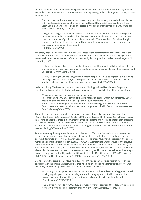In 2005 the perpetrators of violence were perceived as 'evil' too, but in a different sense. They were no longer described as insane but as rational actors carefully planning and calculating their actions, as these excerpts show:

 'This morning's explosions were acts of almost unspeakable depravity and wickedness, planned with the deliberate intention of taking innocent life, and the whole House condemns them utterly. This is an attack not just on our capital city, but on our country and our way of life as a whole' (Davis, *Hansard*, 7/7/2005).

 'The greatest danger is that we fail to face up to the nature of the threat we are dealing with. What we witnessed in London last Thursday week was not an aberrant act. It was not random. It was not a product of particular local circumstances in West Yorkshire. … Senseless though any such horrible murder is, it was not without sense for its organisers. It had a purpose. It was done according to a plan. It was meant [...] (Blair, 16/07/2005).

The binary opposition between the evil and wickedness of the perpetrators and the innocence of the civilian victims is another component of the narrative of both eras. For instance, the language utilised immediately after the November 1974 attacks can easily be compared, and indeed interchanged, with that of July 2005:

 '… the deepest anger that a tiny minority of fanatics should be able to inflict appalling suffering and loss on innocent people, and in doing so, should be doing damage to our whole society' (Lord Chancellor, *Hansard*, (28/11/1974).

 '… they are trying to use the slaughter of innocent people to cow us, to frighten us out of doing the things we want to do, of trying to stop us going about our business as normal as we are entitled to do and they should not and must not succeed' (Blair 07/07/2005).

In the post 7 July 2005 context, the words extremism, ideology, evil and Islamism are frequently repeated and become almost intertwined, as exemplified by this speech by Tony Blair one week later:

'What we are confronting here is an evil ideology […]

 And, of course, they will use any issue that is a matter of dissent within our democracy. But we should lay bare the almost-devilish logic behind such manipulation […] This is a religious ideology, a strain within the world-wide religion of Islam, as far removed from its essential decency and truth as Protestant gunmen who kill Catholics or vice versa, are from Christianity' (16/07/2005).

These ideas had become consolidated in previous years as other policy documents demonstrate (Rowe 1997; Straw 1999; Blunkett 2003; Blair 2004; and as discussed by Rehman 2007). Moreover, it is interesting to note that there is a convergence among politicians of different orientations in espousing this view of the threat and its nature. For instance, Conservative MP Michael Howard praised British 'citizens' and the British 'way of life' for proving 'once again resilient in the face of evil' and the terrorists' 'warped ideology' (*Hansard*, 11/07/2005).

Another recurring theme present in both eras is 'barbarism'. This term is associated with a moral and cultural metaphorical struggle for the values of civility which is evident in the offsetting of, on the one hand, 'terrorists' and, on the other, 'civilised people' and 'those Muslims who represent 'the decent, humane and principled faith of Islam' (Blair, 27/09/2005). A similar idea was conveyed in the previous decades by references to the animal violence and loss of human quality of the 'bestial bombers' (Lord Hunt, *Hansard*, 28/11/1974; cf. Lord Hailsham of Saint-Mary-Lebone, *Hansard*, 28/11/1974). The linked idea of disorder was also conveyed by references to bestiality and barbarism, as well as by the metaphors 'scourge' and 'plague' utilised by various politicians to describe IRA attacks in the 1980s (Pitt, *Hansard*, 20/07/1982; Lord Belstead, *Hansard*, 27/10/1981; Griffith, *Hansard*, 19/12/1983).

Shortly before the attacks of 21 November 1974 the IRA had openly declared itself at war with the government of the United Kingdom. Rather than rejecting this notion, the semantic field of war was repeatedly summoned up in many of these early Parliamentary debates:

 'Is it not right to recognise that this event is another act in the ruthless war of aggression which is being waged against the United Kingdom and its integrity, a war of which the brunt has mainly been borne for over five years past by our fellow subjects in Northern Ireland' (Powell, *Hansard*, 22/11/1974).

 'This is a war we have to win. Our duty is to wage it without sacrificing the ideals which make it worth while winning' (Lord Hailsham of Saint Mary-Lebone, *Hansard*, 28/11/1974).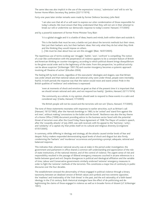The same idea was also implicit in the use of the expressions 'victory', 'submission' and 'will to win' by former Home Affairs Secretary Roy Jenkins (22/11/1974).

Forty-one years later similar remarks were made by former Defence Secretary John Reid:

 'I am also sure that all of us will want to express our utter condemnation of those responsible for today's attacks. We must ensure that they understand that they will not win in their attempt to break our will or undermine our democratic response to today's events' *Hansard*, 7/7/2005)

and by a powerful statement of former Prime Minister Tony Blair:

'it is a global struggle and it is a battle of ideas, hearts and minds, both within Islam and outside it.

 This is the battle that must be won, a battle not just about the terrorist methods but their views. Not just their barbaric acts, but their barbaric ideas. Not only what they do but what they think and the thinking they would impose on others.

[...] We must be clear about how we win this struggle' (Blair, 16/07/2005).

The repetitious use of terms evoking war: 'struggle', 'battle', 'won', 'confront' is compelling. The notion of a war-like confrontation with the perpetrators of violence appears to be a constant feature of British and American thinking on counter-insurgency, according to which political dissent brings disequilibrium to the given social order and to the legitimacy of the state. From this perspective, 'no political activity can be above suspicion' (Schlesinger 1991:76) and counter-insurgency becomes a systemic approach involving all 'theatres of action' (Kilcullen 2004).

The feeling left by both events, regardless of the executants' ideologies and slogans, was that Britain was under attack and that national values and national unity were under threat, people were inevitably fearful. In both periods the response was that the nation would resist and stand united. Pride in the British qualities of 'resilience' and orderliness is expressed:

 'even at moments of shock and emotion as great as that of the present time it is important that we should remain rational and calm, and not respond too hastily'. (Jenkins, *Hansard*, 22/11/1974).

 'the community as a whole, in my opinion, should seek to respond to these events in a calm and considered way' (Clarke, *Hansard*, 7/7/2005)

'the British people will not be cowed and the terrorists will not win' (Davis, *Hansard*, 7/7/2005).

The tone of these statements resonates with responses to earlier atrocities, such as Brittan's call (*Hansard*, 19/12/1983), after the Harrods bombings in 1983, to be 'united' and 'stand firm against the evil men', without making 'concessions to the bullet and the bomb'. Resilience was also the key theme of a Home Office (1999) document providing advice to the business sector faced with the potential threat of terrorism even after the Good Friday Peace Agreement of 1998. The Mayor of London's speech, after the 'cowardly attacks' of July 2005, was well-received, with his appeal to the 'harmony', 'unity', and 'solidarity' of a capital city that prides itself on its cultural and religious diversity (Livingstone 07/07/2005).

In summary, while differing in ideology and strategy, all the attacks caused similar levels of fear and despair. Policy-makers responded demonstrating equal levels of shock and disgust but also firmly condemning the 'barbaric' and 'murderous' occurrences and promising a prompt, adequate, rational and balanced response.

This indicates that, whenever national security was at stake in the period under investigation, the government and parliament in office shared a common self-understanding and appreciation of the role of state institutions, of the national interest, and of the control of violence. The urgent sense of risk and responsibility resulted in the passage of illiberal emergency measures couched in arcane references to a battle between good and evil. Despite divergences in political and ideological affiliation and the variable of time, Labour and Conservative governments similarly endorsed 'extreme' emergency measures in order to fight the 'extreme' methods of the terrorists. This constitutes a major line of continuity in public discourse over the four decades.

The establishment stressed the abnormality of those engaged in political violence through a binary taxonomy between an idealised version of British values and symbols and two extreme opposites; the 'madness' and irrationality of the 'Irish threat' in the past, and the evil rationality of a faith-based ideology in the 21st century. Both rhetorical strategies have the effect of de-politicising and delegitimising the claims of those engaged in violence as well as in broader forms of dissent (cf. Schlesinger 1991).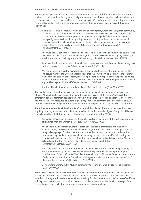#### *Representations of Irish communities and Muslim communities*

The ambiguous position of Irish and Muslims – as victims, partners and threats – became clear in the analysis. In both eras the minority ethnic/religious communities who are perceived to be associated with the violence are characterised: as allies in the struggle against 'terrorism', as victims needing protection from a potential backlash and as communities that might be harbouring extremists and threatening individuals:

 'I have represented for nearly 25 years the city of Birmingham, which has a large Irish community of about 100,000. During the whole of that period relations have been excellent between that community and the native-born population. It would be a tragedy if these relations were damaged by what has been done by a tiny majority. It is of great importance that we should recognise how utterly alien and repugnant to the overwhelming majority of the Irish is what is being done by a few totally unrepresentative fringe figures of their community' (Jenkins, *Hansard*, 22/11/1974)

 'We must not […] condone retaliation upon the broad mass of our neighbours in this country who may be of Irish extraction—as indeed I am myself—for the wicked deeds of a guilty minority of which the enormous majority are wholly innocent' (Lord Hailsham, *Hansard*, 28/11/1974).

 'I endorse the sincere hope that Irishmen in this country as a whole will not be blamed in any way for the actions of the criminals' (Lord Janner, *Hansard*, 28/11/1974).

 'We stand united against the perpetrators of those evil, barbaric acts of terrorism. Can he [the PM] assure me that the Government recognise that the overwhelming majority of the Muslims who live in this country are tolerant, law-abiding citizens who respect other religions and do not support terrorism? Can he assure me that the Government will do everything they can to prevent any backlash against Muslims?' (Sarwar, *Hansard*, 11/07/2005).

'Muslims, like all of us, abhor terrorism. Like all of us, are its victims' (Blair, 27/09/2005).

The parallel emphasis on the innocence of the mainstream Irish and Muslim population is worthy of note. Although on both occasions the minorities are seen as part of the 'injured' side, each time emergency counter-terrorism policies then evolved in a way that targeted and negatively affected these minorities: the 1974 measures developed explicitly against 'Irish' terrorism; the Terrorism Act of 2000 included the notion of 'religious' motivation for terrorism and proscribed several Muslim organisations.

The subsequent laws of 2001, 2005, and 2006 expanded the offence of terrorism in a way that meant anything remotely associated with Islam and possible dissent became the object of suspicion. This has parallels with the establishment's perception of Irish communities in the 1990s:

 'the defeat of terrorism also requires the whole-hearted co-operation of the vast majority of law abiding Irish men and women' (Hattersley, *Hansard*, 06/03/1990)

 'the public should be totally aware that these terrorists are in their midst, and suspicious activities of any kind such as Irish people hiring cars, booking short-term stays in guest houses, using lock-up garages for short periods at a time, and so on, must be reported to the police. Harassment pays, and although some innocents may be perturbed and affected, chasing the terrorists will certainly pay. On the whole they have been harassed and chased out of Northern Ireland. Now that they are here, we have to do the same in Great Britain'. (Lord Mason of Barnsley, 26/06/1990)

 'And I say to our Muslim community. People know full well that the overwhelming majority of Muslims stand four square with every other community in Britain. We were proud of your contribution to Britain before last Thursday. We remain proud of it today. Fanaticism is not a state of religion but a state of mind. We will work with you to make the moderate and true voice of Islam heard as it should be' (Blair, *Hansard*, 11/07/2005).

 '… we want to work with the Muslim community to isolate and weaken dangerous extremists' (Clarke 20/07/2005).

These extracts show how Irish communities and Muslim communities found themselves situated in an ambiguous position, both as a consequence of the political violence and of the anti-terrorism measures. Whether pointing openly to the 'enemy within' or calling for the cooperation of the 'moderate' and 'lawabiding' members of these communities in order to eradicate extremism, the implicit message of the establishment seems to be that they have become 'suspect communities'.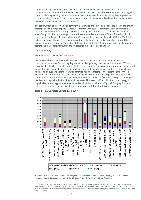Numerous policy documents actually explain that the emergence of extremists or terrorists from certain minority communities should not lead to the conclusion that those communities are also guilty. However, these apparently nuanced statements are not necessarily matched by equivalent practices; the way in which counter-terrorism policies are conducted, implemented and how they impact on the populations in question suggests the opposite.

The continuation of draconian anti-terrorism measures and the development of the idea of prevention, accompanied by a range of policies loosely connected with counter-terrorism, led to an excessive focus on these communities. This gave them an ambiguous status of victims and partners with an aura of suspicion. The positioning of the Muslim communities is however different from that of Irish communities in the past, in that societal transformations (e.g. the Rushdie affair, 9/11, the 2006 veil debate, continuing though diversified immigrations into Britain) and policy evolutions beyond the domain of counter-terrorism,<sup>1</sup> have altered the position, both the difficulties (e.g. exposure to stop and search) and the opportunities, that are available for minorities in Britain today.

#### **4.2 Media Study**

#### *Mapping analysis of headlines in the press*

Our analysis shows that the British press participates in the construction of Irish and Muslim communities as 'suspect' to varying degrees and in divergent ways. For instance, we found 20% less coverage of Irish-related events, despite the far greater incidence of actual physical violence perpetrated by the IRA. Even taking the increase in newspaper size in the period into account, this is a significant finding, which suggests that there was an effort to minimise threats to the integrity of the United Kingdom, and, in Margaret Thatcher's words, to deprive 'terrorists' of the 'oxygen of publicity' in this period. The tendency to invisibilise and incorporate the Irish in Britain (Hickman, 1998), the climate of media censorship, with the Broadcasting Ban enforced between 1988 and 1994, and the strategy of depoliticising the struggle for a united Ireland (such as the withdrawal of Special Category Status for convicted paramilitary prisoners in 1976) may all have contributed to this phenomenon.



#### **Table 1 – The Complete Sample 1974-2007**

Note: DM & MoS: *Daily Mail & Mail on Sunday;* DT & ST: *Daily Telegraph & Sunday Telegraph;* G &O: *Guardian & Observer;* S & N: *Sun & News of the World;* AT: *Asian Times;* IP: *Irish Post*; MN: *Muslim News.*

<sup>&</sup>lt;sup>1</sup> For instance in race relations; religious discrimination; the inclusion in the census of the categories of 'ethnicity' and 'religion', respectively in 1991 and 2001; the creation of new areas of ministerial competence, such as Communities and Local Government; the evolution of a culture of open consultation with stakeholders; parliamentary reforms, such as the inclusion of nominated peers in the House of Lords that come from ethnic minorities.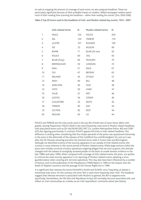As well as mapping the amount of coverage of each event, we also analysed headlines. These are particularly significant because of their probable impact on readers: 'skilled newspaper readers spend most of their reading time scanning the headlines – rather than reading the stories' (Dor, 2003: 696).

#### **Table 2: Top 20 terms used in the headlines of Irish- and Muslim-related key events, 1974 - 2007**

|                | <b>Irish-related terms</b> | N   | <b>Muslim-related terms</b> | N   |
|----------------|----------------------------|-----|-----------------------------|-----|
| 1              | <b>PEACE</b>               | 132 | <b>POLICE</b>               | 204 |
| $\overline{c}$ | <b>IRA</b>                 | 124 | <b>TERROR</b>               | 170 |
| 3              | <b>ULSTER</b>              | 107 | <b>RUSHDIE</b>              | 100 |
| $\overline{4}$ | SIX                        | 72  | <b>MUSLIM</b>               | 99  |
| 5              | <b>BOMB</b>                | 71  | BLAIR (Sir lan)             | 95  |
| 6              | <b>POLICE</b>              | 69  | VEIL                        | 94  |
| $\overline{7}$ | <b>BLAIR</b> (Tony)        | 66  | <b>MUSLIMS</b>              | 79  |
| 8              | <b>BIRMINGHAM</b>          | 59  | <b>LONDON</b>               | 72  |
| $\mathsf 9$    | <b>DEAL</b>                | 51  | <b>RACE</b>                 | 67  |
| 10             | YES                        | 47  | <b>BRITAIN</b>              | 62  |
| 11             | <b>IRELAND</b>             | 43  | <b>ATTACK</b>               | 57  |
| 12             | <b>IRISH</b>               | 40  | <b>BILL</b>                 | 48  |
| 13             | <b>SINN FEIN</b>           | 39  | <b>OUR</b>                  | 48  |
| 14             | <b>VOTE</b>                | 39  | <b>CHIEF</b>                | 47  |
| 15             | <b>FOUR</b>                | 37  | <b>MET</b>                  | 46  |
| 16             | <b>JUSTICE</b>             | 34  | <b>STRAW</b>                | 46  |
| 17             | <b>GUILDFORD</b>           | 33  | <b>RIOTS</b>                | 45  |
| 18             | <b>TERROR</b>              | 30  | <b>DAY</b>                  | 44  |
| 19             | <b>VICTIMS</b>             | 30  | <b>RIOT</b>                 | 44  |
| 20             | RELEASE                    | 29  | US                          | 44  |
|                |                            |     |                             |     |

POLICE and TERROR are the only words used in the top 20s of both sets of news items, albeit with greatly varying frequencies. POLICE (204) is the most frequently used word in Muslim-related headlines, with associated terms such as (Sir Ian) BLAIR (95), MET (i.e. London Metropolitan Police, 46) and CHIEF (47) also figuring prominently. In contrast, POLICE appears 69 times in Irish-related headlines. This difference is striking when considering that the modus operandi of the police was questioned intensively in the press in the aftermath of the releases of the Guildford Four and Birmingham Six, just as it was after the De Menezes shooting and after the botched terror raids in Forest Gate and Birmingham. Although we identified scrutiny of the security apparatus in our sample of Irish-related events, this scrutiny is more intensive in the recent period of Muslim-related events. While large sections within the press were initially uncritical of police operations targeting alleged Irish terrorist suspects, this attitude changed with the release of wrongfully arrested people on the basis of unsafe forensic evidence in the late 1980s and early 1990s. When compared with coverage of Irish-related events, the press are quicker to criticize the state security apparatus in its reporting of Muslim-related events, adopting a more guarded stance when covering anti-terrorist operations. This may also have been influenced by a number of factors, such as the publication of the Macpherson (1999) Report in 1999 on the enquiry into the death of Stephen Lawrence, and the passage of the Human Rights Act in 1998.

It is significant that whereas the terms MUSLIM/S, ISLAM and ISLAMIC recur frequently, al-Qaeda is mentioned only twice. On the contrary, the term 'IRA' is used more frequently than 'Irish'. The headlines suggest that whereas terrorism is associated with Muslims in general, the IRA is targeted more specifically. Nonetheless, the IRA (the *Irish* Republican Army) will inevitably become associated with, and reflect on, Irish communities as a whole, as our Irish respondents' comments attest (see below).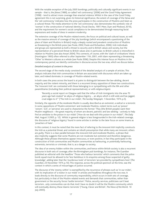With the notable exception of the July 2005 bombings, politically and culturally significant events in our sample - that is, the *fatwa* (1989), so-called 'veil controversy' (2006) and the Good Friday Agreement (1998) - tend to attract more coverage than enacted violence. Whilst in the case of the Good Friday agreement this is not surprising, given its historical significance, the extent of coverage of the fatwa and the 'veil controversy' indicates how the press participates in the construction of Muslims and Islam as a *cultural* threat. The media attention to the 'veil controversy' also demonstrates the symbolic role of 'woman' in the construction of national identity (Yuval-Davies, 1997; Meer, Dyer and Modood, 2010), and the requirement for women's social compliance to be demonstrated through reassuring facial expressions and modes of dress in western modernity.

The extensive coverage of the Muslim-related events, the focus on political and cultural issues, as well as the massive amount of coverage of the July bombings (which encompassed a questioning of the place of Islam and Muslims in Britain) imply a deeply rooted and prevalent construction of Muslims as threatening in the British press (see Poole, 2002; Poole and Richardson, 2006). Irish individuals and groups are represented as both a threat to security and to British values and society, but the representation of a perceived threat to British values and, in particular, to British culture is intensified in relation to Muslims (see also Ansari 2004). This connects, of course, with the 'clash of civilisations' thesis (Huntington 1993) often referred to after September 11th, 2001, with Islam representing a threatening 'Other' to Western cultures as a whole (see Poole 2006). Despite this intense focus on Muslims in the contemporary period, we identify continuities in discourse across the two eras, which we discuss below.

#### *Detailed analysis of content in the press*

The second stage of the media study consisted of the detailed analysis of a sample of articles. This analysis indicates that Irish communities in Britain are associated with discourses which are taken up later, and indeed dominate, in coverage of Muslim-related events.

In both cases the press across the board is at pains to distinguish between the law-abiding, decent majority and the violent minority, and there is a recurrent binary opposition of these two constructions. The 'innocent Irish' are contrasted with those belonging to or sympathising with the IRA and other paramilitaries (including their political representatives), or with *religious bigots:*

 'Recently a social report on Glasgow said that the influx of Irish immigrants into the area 70 years ago had created "an abyss of religious bigotry … an abyss which is still wide and has jagged, cruel edges to it"' ('The Irish in our midst', *The Sunday Telegraph*, 1 December, 1974, p.5).

Similarly, the opposite of the *moderate Muslim* is usually described as an *extremist*, a *radical* or a *terrorist*. In some oppositions of 'Muslim extremism' and moderate Muslims, violent terms such as 'poison' 'venom', 'evil', or 'perverse' are used to characterise the former: 'They (the British people) want their Muslim neighbours – the great majority of whom are decent, patriotic and law-abiding – actively to help find an antidote to the poison in our midst' ('How do we deal with this poison in our midst?', *The Daily Mail,* August 3 2005, p. 12). Whilst in general religion is less foregrounded in the Irish-related coverage, the discourse of 'religious bigotry' found in some articles is similar to the later focus on some Imams as 'preachers of hate'.

In this context, it must be noted that the mere fact of referring to the *innocent Irish* implicitly constructs the Irish as a potential threat, and contains an inbuilt presumption that while many are innocent, others are *guilty*. There is a clear parallel between the *innocent Irish* and *moderate Muslims,* a phrase that also implicitly suggests that some Muslims are not moderate but *extremist* and therefore dangerous. Although these phrases themselves appear innocuous, or even positive, in fact they participate in the construction of Irish communities and Muslim communities as harbouring, or potentially harbouring, extremists, terrorists or criminals, that is, as a danger to society.

The idea of an enemy hidden within the communities, and hence within British society is also a recurrent discourse in both sets of coverage; after the Birmingham pub bombings, for instance, *The Guardian* published an editorial with the headline ' Those who harbour terrorists' which comments that the police bomb squad must be allowed to be 'less fastidious in its enquiries among those suspected of guilty knowledge', adding later that the 'murderous tools' of terrorism 'are provided by sympathisers here' (*The Guardian*, 23 November 1974, p.10). This response, across the political spectrum at the time, was the context in which a series of miscarriages of justice occurred.

The discourse of the 'enemy within' is exemplified by the recurrence of phrases such as 'in our midst', with its implication of 'a traitor in our midst' in articles and headlines throughout the two eras. It leads directly to the discourse of community responsibility, which occurs in both sets of coverage, but particularly in that of the Muslim-related events and demands that communities, rather than government or the security forces 'tackle terrorism': 'Police, security services, politicians can't beat terrorism…only communities can do that. And I have no doubt it will be the Muslim community which will eventually destroy these Islamic terrorists' ('Young, Clever and British', *The News of the World,* 10 July 2005).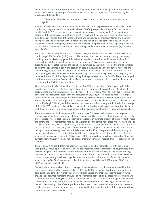Members of Irish and Muslim communities are frequently represented as being both inside and outside British civil society; one example of this discourse can be seen on pages 4-5 of *The Sun* on 13 July 2005, which carried the headline:

 '7/7 Footie Fan who blew up commuters. Khaka …Tube bomber from a chippie. Suicide Lad Age 22'.

Here terms associated with terrorism are juxtaposed with terms expressive of Britishness, thus 'tube bomber' is juxtaposed with 'chippie' whilst above it '7/7' is juxtaposed with 'footie fan', and below it 'suicide' with 'lad'. These juxtapositions transmit the notion of the 'enemy within', the idea that an attack on Britishness has occurred *from its heart*. Throughout the period under study we find the press simultaneously representing Britishness as fragile and threatened by a 'suspect' Other, and claiming its importance and association with values such as the rule of law, the right to security, tolerance, secularism, freedom of religion, fairness, and non-violence. The press appears here to participate in the discourse of a 'crisis of Britishness' which has clearly gained momentum in recent years (Byrne, 2007; Ward, 2008).

This is not a new phenomenon. On 10 December 1974, for instance, in a piece entitled 'English girl on bomb charge', *The Guardian* (p. 26) reports: 'The number of accused around the country concerning bombing incidents is causing great difficulties for the prison authorities, and it is proving hard for them to find suitable prisons for all of them'. This image of British prisons overflowing with Irish suspects clearly indicates the fear of Britain being swamped by the 'Irish problem'. The article purports to cover the appearance in court of a total of 14 people in relation to various offences related to the pub bombings that occurred in Guildford on 5 October 1974, paying particular attention to the case of Annie Maguire. These offences included murder, illegal possession of explosives, and conspiracy to cause explosions. 13 of the 14 people (including the Maguire Seven and the Guildford Four) are lumped together into one group of *Irish* people implicitly portrayed as having acted in concert in planning and carrying out the Guildford pub bombing.

At no stage does the *Guardian* article refer to the IRA. With the exception of the 'English girl' of the headline, who is later described as 'English-born', it refers only to Irish people (or people with Irish backgrounds) charged with terrorist-related offences, thereby implying that 'the Irish' are responsible for terrorism. The shock, embedded in the headline, that an 'English girl' could also be implicated, implies that Britain and Britishness might be contaminated by a threat that here is clearly identified as 'Irish'. The ambiguity of the phrase 'English-born' casts suspicion on Irish people born in Britain. The article does not clarify the girl's identity and this increases the sense of a hidden enemy within Britain. The coverage of the July 2005 bombings echoes this, particularly in the level of shock expressed about the discovery that the perpetrators were British, exemplified in the headlines like those from *The Sun* discussed above.

There were variations in the representations in the press. This was usually related to the targeted readerships and political orientations of the newspapers and to the perceived significance of the events and issues reported. In particular, we observed a divergence in coverage of some of these events between the centre-left press represented here by *The Guardian*, and the centre-right press, *The Telegraph* and *The Daily Mail* respectively. This is illustrated by our analysis of a sub-sample of 41 of the total of 277 articles on the so-called veil controversy, when former Home Secretary Jack Straw expressed his difficulties in talking to women wearing the *niqab*, or full-face veil. Whilst 13 articles presented the controversy in mainly neutral terms, it is significant that half (21) were sympathetic with Straw, often describing the wearing of the niqab as a threat to British values. Of the seven articles which were critical of Straw and sympathetic to Muslim women's right to choose their own version of modest dress, six appeared in *The Guardian.* 

There is also a significant difference between the diaspora and the national press with the former unsurprisingly focusing more on events and issues directly relevant to their readerships, providing more positive images of Irish communities and Muslim communities, and focusing on the impact of being perceived as 'suspect' on members of the communities. This is consistent with recent research on how the perception among Muslims of negative representations has led to the rise of alternative media sources such as *The Muslim News*, and online interventions (see Gillespie, 2002; Ahmad, 2006; Noor, 2007; Van Zoonen et al, 2011).

Our critical discourse analysis of press coverage of events relevant to Irish communities and Muslim communities in Britain that occurred between 1974 and 2007 has shown that these communities have been principally defined in relation to perceived British values, and that they become 'suspect' when they, or their assumed members, are judged by newsmakers not to abide by these values. However, we also found that the defining characteristic of much news coverage has been its ambiguity. Indeed, while constructions and representations of Irish and Muslim communities as consisting mainly of 'decent, patriotic, law-abiding citizens' are arguably positive, these constructions and representations become problematic when they are nearly always accompanied by the characterisation of these communities as harbouring dangerous extremists.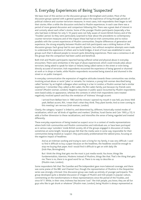# 5. Everyday Experiences of Being 'Suspected'

We base most of this section on the discussion groups in Birmingham and London. Most of the discussion groups opened with a general question about the experience of living through periods of political violence and counter-terrorism measures. In most cases, Irish respondents then began to tell their stories. After a while the discussion switched to Muslim experiences. In each case there was a period of more general discussion and comparison following this. There was a great deal of interest in and curiosity about each other's stories. Some of the younger Muslim participants (especially a few who had been in Britain for only 5-10 years) were not fully aware of recent British history and of the 'Troubles' period. So they were particularly surprised to hear about the precedents to contemporary counter-terrorism measures and of the impact these had had on Irish communities and to notice parallels with the current experiences of Muslim communities. Despite differences of generation and experience, the strong empathy between Muslim and Irish participants was a striking feature of the discussion groups. Each group had its own specific dynamic, but without exception attempts were made to understand the experience of others and to build bridges. A level of trust was established in some groups such that it allowed people to recount quite disturbing experiences. There was a consensus in all the groups that the comparison had been useful and beneficial.

Both Irish and Muslim participants reported having suffered verbal and physical abuse in everyday encounters. There were similarities in the type of abuse experienced, which could include jokes about terrorism, being asked to speak for Islam or Ireland, being called names in the street or even being directly accused of terrorism. Irish respondents recounted the experience of being ignored or shunned at work or in shops or banks, while Muslim respondents recounted being stared at and shunned in the street or on public transport.

In everyday communication the expression of negative attitudes towards these communities was similar, involving actual abuse or racist 'jokes' or remarks. For instance, a young Irish woman described being called 'Semtex' by an English colleague when working in a bar in London; a Muslim woman had a similar experience: 'I remember they called us Bin Laden, the Bin Laden family, just because my friends were covered' (Muslim woman, London). Negative responses in public space recounted by Muslim respondents were based solely on appearance, whereas the contexts in which Irish respondents were treated negatively involved speech and thus the revelation of 'Irishness' through accent:

 I arrived from Belfast here in 1983 and the minute I opened my mouth it was hell, you know. Well yeah, Belfast accent, IRA, I mean that's what they think. They plant bombs. And so even coming to this meeting I am nervous (Irish woman, London)

Clearly, the category 'suspect' is linked to, and determined by, different, historically rooted modes of racialisation, which use 'all kinds of signifiers and markers' (Anthias, Yuval-Davies and Cain 1993, p.15). It adds a further dimension to these racializations, and intensifies the sense of being regarded and treated differently.

These everyday experiences of being treated as suspect occur in a context of media representations where both Irish communities and Muslim communities and individuals are, or have been portrayed as in various ways 'outsiders' inside British society. All of the groups engaged in discussion of media, sometimes at some length. Several groups felt that the media were in some way responsible for their communities being treated as 'suspect'; they particularly problematised the tabloid press, focusing on the negative impact of headlines:

 And as an Irishman working and trying to earn a living for my family, it was very difficult. I used to find it difficult to buy a paper because on the headlines, the headlines would be enough to stop me buying that paper. And I would find it difficult to get on with daily life (Irish Man, Birmingham).

 But I think the thing that gets me the most is just media words. You know, things like fundamentalists, Islamists, Moslems instead of Muslims, things like that. That's the thing that gets me. There is no, there is no good word for us. There is no way to describe us (Muslim man, London).

Some respondents felt that *The Guardian* and *The Independent* gave more balanced coverage, and there was some praise of the BBC and Channel Four, though the representation of Muslims in the *Despatches* series was strongly criticised. One discussion group was made up entirely of younger participants. This group developed quite a detailed discussion of images of Muslim and Irish people in popular culture, commenting on the transformations in these representations since the period of the Troubles, and since 9/11. While, in their view, Irishness has become 'cool': 'the Irish people, you know, they are all fun guys who like to get drunk or whatever' (Muslim man, London), being Muslim is always represented as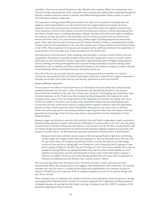a problem: 'there are no normal Muslims on telly' (Muslim man, London). Whilst our respondents were critical of media representations, their comments were nuanced and sophisticated, analysing divergences between headlines and the content of articles, and differentiating between media outlets, as well as commenting on audience responses.

The experience of being treated differently resulted not only from encounters in everyday life and negative media representations, but also directly from the implementation of counter-terrorism measures. There were some positive comments on the role of the police, but negative accounts were more numerous. A third of the incidents recounted involved police actions or activity. Both groups felt that Irish or Muslim areas or buildings (mosques, Catholic churches, Irish pubs) were under surveillance. Six instances of 'stop and search' were described, and five of these accounts were by Muslims (two women and three men). One case involved young children (aged 10) being stopped and searched by police. There were five accounts of actual arrests (of family members, friends or acquaintances), and all of these were by Irish respondents; in one case the account was of severe violence at the hands of police in the 1970s. These responses in the groups are characterised by a difference between the experience of actual arrests on the Irish side, and of stop and search on the Muslim side.

The experience of discrimination while travelling internationally is common to both Muslim and Irish respondents. Participants recounted incidents where they were subjected to extra or intrusive checks, particularly at ports and airports. Muslim respondents reported being taken off flights; being asked to remove clothing; and being interrogated and accused of having undertaken al-Qaeda training. Travel destinations such as Pakistan and Yemen seemed themselves to be treated as suspect by airport officials as travel between Britain and Ireland had been during the earlier era.

From all of this we can conclude that the experience of being treated as a member of a 'suspect' community was shared by Irish and Muslim respondents and that it resulted from: negative responses in everyday encounters; from police activity; and security operations at ports and airports.

#### *Impacts of being 'suspected'*

The accounts of the effects of such experiences on individuals and communities also showed strong similarities between the two eras. A state of fearfulness was described by Muslims in the present period and Irish in relation to the past, and in both cases, 'lying low' and 'keeping your head down' were common responses. In the Muslim case this involved not discussing politics (for example at work), avoiding certain areas of the city, being careful on the telephone and Internet, and taking care not to mention al-Qaeda or terrorism, even in jokes. Irish respondents frequently described keeping quiet so that their accents would not be noticed, or being asked to speak on behalf of their first generation parents in shops. In both cases the state of fearfulness and suspicion was said to lead to divisions within the community, and to community members suspecting each other. Fear and caution were also generated by knowledge of the Terrorism Laws and by what seemed to be the arbitrariness of their implementation.

However, anger and alienation were also felt, and both Irish and Muslim respondents made connections between being treated as 'suspect' and political mobilisation of various kinds. In the Irish case, the policy of internment in Northern Ireland was described as a 'recruitment tool' for the IRA. A young Muslim man of Eritrean background described how he and his friends had been regularly stopped and searched, and stared at in public spaces. He felt that these pressures could lead to various forms of politicisation:

 Because I don't know whether you are aware of this but young Muslims right now, are thriving on this image, this image of yeah, they are jumping on it, they are like yeah, this is the new cool. Do you know what I am trying to say. We'll go round in crowds. We will put our little things across our face and we're saying yeah, we're doing this, we're doing that and I'm going to Gaza and I'm going to [slaps his hands]. They are thriving on it. And I don't know whether this is new to people but young Muslims are going absolutely crazy. Because they've been labelled so much Muslims as being these terrorists and being this in these recent times that there is a group, a minority of people I should say who have actually decided that you know what *I am going to be what you are labelling me to be* (Muslim man, London; authors' italics).

This comment illustrates how the focus on the 'extremist minority' in public discourse can have unpredictable effects; this young Muslim man suggests that identification with 'extremism' can become desirable and 'cool' the more it is vilified by the media and establishment. He is however at pains to distance himself from such responses: 'And I'm saying to progress you have to be positive and go with your life as normal'.

More everyday forms of resistance and resilience became a recurring theme across the groups. A young, second generation Pakistani British woman, for instance, expressed her indignation at being treated as a foreigner because of wearing the *hijab* (head covering or headscarf; see Rizvi 2007 for analysis of the particular targeting of Muslim women):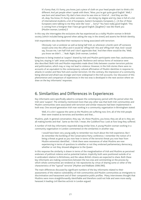It's funny that, it's funny, you know, just a piece of cloth on your head people start to think a bit different. And yet people when I speak with them, 'Wow, you've got quite good English'. Well, I was born and raised here. My dad is here since he was nine so I kind of ... And they are like oh, okay. You know, it's funny when someone … I am doing my degree and my class is full of, a lot of international students, a lot of Europeans, Eastern Europeans, Europeans. […] A few of these Europeans were talking to me they were like 'wow' … Sorry? 'You have really good English.' This is coming from a foreigner that I have got good English. [laughter] I was like thank you (Muslim woman, London).5

In this way she interrogates the exclusions she has experienced as a visibly Muslim woman in British society (which included being ignored when asking the way in the street) and asserts her British identity.

Irish respondents also described their resistance to being associated with terrorism:

 Obviously I am a Londoner as well as being half Irish, so whenever a bomb went off someone would come into the office and it would be 'effing Irish' this and 'effing Irish' that. And I would say, 'Excuse me, I am half Irish and I don't appreciate that.' And then there would be the, 'Well, you know we didn't …'. Yeah. Right. (Irish woman, London)

Responses to being treated as 'suspect' shared by Irish and Muslim participants were fear, cautiousness, lying low, staying in 'safe' areas and keeping quiet. Resilience and various forms of resistance were also described. Both Irish and Muslim respondets made direct links between counter-terrorism policies and politicisation, which may or may not lead to violence. However, in the Irish stories there were no accounts of an equivalent to the contemporary cultural affirmation of Muslim identities in response to attacks in London and New York and counter-terrorism. On the contrary, the impression of a community being silenced and afraid was stronger and more widespread in the Irish accounts. Our discussion of this phenomenon and comparison of experiences in the two eras is developed in the next section where we draw on the key informants' responses.

### 6. Similarities and Differences in Experiences

Key informants were specifically asked to compare the contemporary period with the period when the Irish were 'suspect'. The similarity mentioned more than any other was that both Irish communities and Muslim communities were associated with terrorism and similar measures had been implemented in both eras. One second-generation Irish man working in a community organisation in Birmingham stated:

 Well, it's a bit I suppose the same as the Muslims are suffering now. Erm, all of the Irish people then were treated as terrorists and bombers and that…

Muslims, yeah. In general conversation, they say, 'oh, these Muslims, you know, they are all at it, they are all making bombs and that'. Same as the Irish. I mean, the Guildford Four. Look at how long they suffered.

A number of Irish key informants responded along similar lines. A young Muslim woman working in a community organisation in London commented on the similarities in another way:

 I would have been very young sadly to remember too much about the Irish experience. But I do remember the bombing of the Conservative Party conference. I remember the notion of it being a threat as great as you now hear in terms of the terrorist threat you now hear from Muslim extremists identified… I think there were resonances of what Muslims are now experiencing in terms of questions to whether or not they endorsed parliamentary democracy, whether or not they showed allegiance to the Queen

In this response the similarity is drawn in terms of the marginalisation of Irish and Muslims as perceived endorsers of political violence and as potential traitors. Implicitly both were positioned outside of or in ambivalent relation to Britishness, and the values British citizens are expected to share. Both these key informants are making connections between the two eras and commenting on the process by which whole communities are rendered as 'risk repositories by virtue of sharing some or other of the characteristics of the "typical" terrorist' (Mythen and Walklate 2006:390).

The main differences discussed by significant numbers of the key informants related to their assessments of the relative vulnerability of Irish communities and Muslim communities as immigrants to discrimination and harassment and of their comparative public profiles. Many interviewees thought that Muslims were more straightforwardly identifiable and therefore could not hide and were more easily harassed. A leading civil liberties activist in London argued: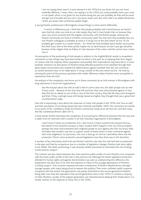I am not saying there wasn't a racist element in the 1970s but you know, but you are more markedly different. I mean, what I am saying is in the 1970s you could probably lower your voice or not speak, which is not great for any human being but you can probably do that and be smart and get out of trouble and you can't, you know, lower your skin tone, that is an added dimension, I think, you know, that sometimes people forget.

A young Muslim professional in Birmingham viewed things to some extent differently:

 … in terms of differences yes, I think the Irish people probably had it hard because we haven't seen that but when you look at our side maybe they had it more harder than us because they were very much involved with the English community, with the British people, whereas the Muslim community are kind of a Muslim community itself. The only time they probably face our non-Muslim colleagues is probably at work or if we go out of the area where we live. So we probably get it easier to a certain extent… So I think the Irish probably had it harder some points but then if you look at the other points maybe not as hard because we don't just get attacked because of the religion that we follow, it's also because of the colour and the racism issue comes into it.

His perception of the positioning of Irish people in relation to the English/British results in empathetic comments on how things may have been harder for them in the past; he is implying that their degree of contact with the majority ethnic population and possibly their expectations may have led to a worse backlash. However, his description of Muslims being afforded protection from backlash through their place-based communities also implied the defensiveness against backlash that this can constitute as careful decisions have to be made about 'if we go outside of the area where we live'. He ends by echoing the point of the previous quotation that visible difference makes Muslims more susceptible to harassment than the Irish.

His analysis of the complexity was borne out in these comments by an Irish woman in Birmingham with long experience in local Irish organisations:

 See the sad part about the Irish as well is that in some cases erm, the older people now as well if they could … Because of the, how they felt and how they were discriminated against or how they felt not as valued as sort of like a, one of the host country, they felt like they were foreigners and that, if they could get away with being classed as English, they thought that was a great kind of achievement really.

Here she is expressing a view about the responses of many Irish people in the 1970s, and 'now as well', and their perception of not being valued (see also Hickman and Walter 1997). Her comments are similar to accounts of the 'confidence inside the Muslim community' being 'at an all time low' and that many feel like 'conditional Britons' (Bari 2011).

A final extract further illustrates the complexity of accounting for differences between the two eras and is taken from an interview with a worker in an Irish voluntary organisation in Birmingham:

 I don't know if there are similarities. Erm, I don't know if there would be the extreme fervour, the hatred of the Seventies because a major incident didn't happen in the city. That prompted perhaps the most mild mannered and congenial people to turn against the Irish. You know, little old ladies that wouldn't say boo to a goose would certainly throw in their comments against their Irish neighbours. So you know, I am sure it does go on. And as I said before there was the protection. There's more protection around legislation now then there was in the Seventies.

A number of key informants, both Irish and Muslim, held the view that the Irish had had no protection in the past; and that by comparison, due to a number of legislative changes, Muslims had more rights in the 2000s. This latter positioning, it was stressed, neither prevented or eliminated the risk of being constructed as 'suspect'.

The contrast was also drawn between the more assertive public profile of some Muslims now compared with the lower public profile of the Irish in the previous era. Although the better legislative protection afforded for human rights and against discrimination was seen as underpinning this difference, the explanation was also seen to lie with the response of many of the younger generations of Muslims to being 'suspect'. One common response has been a reassertion of Muslim identifications amongst younger people, with many being proud to express this publicly. Their more confident public response compared with the similar Irish generations was partly attributed to the second generation Muslims being older now than the equivalent Irish second generation were in the 1970s. In contrast a majority of other Muslims, usually of the migrant generation, are characterised as keeping their 'heads down' in a similar manner to the response of many Irish in the 1970s.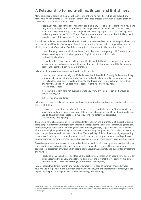### 7. Relationship to multi-ethnic Britain and Britishness

Many participants described their identities in terms of having a mixed or hybrid background, and many Muslim participants asserted British identity in the face of responses which racialised them or constructed them as outside Britishness:

 People, like really good friends of mine that don't have any fear of me because they are my friend they want to ask questions. I am thinking how long have you known me, what are you talking about. And they'll sort of say, 'So you, do you have a Somali passport?' And I am thinking what kind of a question is that? I said, 'But you've known me since primary school so is it likely that I wouldn't have a British passport?' (Muslim woman, London)

For Irish respondents, particularly those born in Britain, the issue was less about claiming Britishness, but more about the difficulty of working out how to be Irish, in the face of both the stigmatisation of an identity tainted with 'suspectness' and the assumption that being white they must be English:

 I mean, both my parents are Irish and I was kind of like, when I was young I didn't know if I was Irish or I was English and at school you were English but you were Irish really (Irish woman, London).

 I think the other thing is about talking about identity and stuff and keeping quiet. I mean for years a lot of second generation would not say they were Irish, probably until the Pogues came about in the Eighties (Irish woman, Birmingham)

In London, there was a very strong identification with the city:

 I mean, a lot of the reason why my life is the way that it is and I don't really find any stumbling blocks socially or sort of academically, I am born in London, I am raised in London, sort of thing, I am a Londoner. You know what I am trying to say. This is what I know as home. I am Eritrean originally but you know I've been here longer sort of thing. [everybody nods] (Muslim man, London)

 IF12 : There's me, born here, not quite sure what, you know, am I Irish or I am a bit English or maybe half English.

IF2: No, you are a Londoner.

In Birmingham too, the city was an important focus for identification, and was perceived as 'safer' than the rest of Britain:

 I think as a community generally we feel more protected, partly because in Birmingham it's a large community and frankly, you know, if there is any abuse people will hear about it and it's, as you said [laughs] white people are a minority so they'd better be a bit careful (Muslim man, Birmingham)

There was a general sense among Muslim respondents in London and Birmingham of the rest of Britain being dangerous territory. It is significant that for Irish respondents the sense of threat was generalised, for instance, Irish participants in Birmingham spoke of feeling strongly targeted all over the Midlands after the Birmingham pub bombings. In contrast, most Muslim participants felt relatively safe in London, even though a bomb attack had taken place there. The possibility of the multicultural city representing a safe space for a targeted community seems therefore to be a recent phenomenon, and is perhaps a positive comment on how everyday multiculture can work in Britains' increasingly diverse urban spaces.

Several respondents were at pains to emphasise their connections with, and openness to other cultures, and a multicultural, urban identity was constructed in almost all the groups. This was sometimes opposed to a perception of white English people as monocultural, unfriendly and quite often threatening and hostile :

 I spoke to Irish people before and I found that probably, amongst English people very ignorant but Irish people tend to be very understanding because of the fact that they've come from a similar situation to what we've been through' (Muslim Man, Birmingham).

In some cases, friendliness warmth and family orientation were seen as common ground between Muslims and Irish people; in the quotation that follows 'the English' are not referred to directly, but are implied by the phrase 'Irish people were more welcoming and accepting':

<sup>2</sup> IF, MF: Irish woman, Muslim woman; IM, MM : Irish Man, Muslim Man. We do not give details of ethnicity here as we did not systematically solicit this information, given the small sample size, and emphasis on respondents volunteering information rather than being questioned in these groups.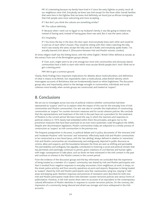MF: It's interesting because my family have lived in X since the early Eighties so pretty much all our neighbours were Irish. Everybody we knew was Irish except for the three other Somali families that were here in the Eighties that we knew. And definitely we found just as African immigrants that Irish people were more welcoming and more accepting …

IF1: But don't you think the cultures are something similar?

MF: The culture definitely.

 IF: Because when I went out to Egypt to my husband's family it was like going to Ireland only instead of having sand, instead of having grass there was sand. But it was the same culture.

IF2: Hospitality

 IF1: You know the key in the door, the door open. And everybody knew each other and would be in and out of each other's houses. They would be sitting with their rollers watching the telly. And it was exactly the same, except the telly was all in Arabic and everybody spoke Arabic. I've actually learned a bit about it. (Discussion between Irish and Muslim women, London).

At times religion itself was the linking factor, with the white English / British Other defined as secular, as this extract from one of the Birmingham groups attests:

 IF: Even, even, might seem to be a bit strange but most Irish communities and obviously Islamic communities have a faith to start with which most secular British people don't. And I think we've got a starting point.

MM: We've got a common ground.

Clearly, these findings have important implications for debates about multiculturalism, and definitions of what it means to be British. Our respondents claim a multicultural, urban British identity which interrogates accounts of Britishness that are fundamentally based on white Englishness. The discussion groups also, and importantly, attest to the damage wrought to communities, individuals and social cohesion more broadly when certain groups are constructed, and treated as 'suspect'.

### 8. Conclusions

We set out to investigate across two eras of political violence whether communities had been represented as 'suspect' and if so to explore what the impact of this was for the everyday lives of Irish communities and Muslim communities. Our aim was also to consider the implications of constructing communities as 'suspect' for counter-terrorism measures and for social cohesion policies. We conclude that the representations and treatment of the Irish in the past have set a precedent for the treatment of Muslims in the current period. We have traced the way in which the reactions and responses to political violence in 1974 clearly had embedded within them the principles, and gave rise to, the prevention measures that have been practised on an even more systematic scale throughout the 2000s. Despite anti-discrimination legislation, Muslim communities today are subjected to a similar process of construction as 'suspect' as Irish communities in the previous era.

The frequent juxtaposition in the press, in political debate and in policy documents of 'the innocent Irish' and 'moderate Muslims' with 'terrorists' and 'extremists' effectively leads Irish and Muslim communities to be constructed as a two-faced Janus, with the 'law-abiding' always defined in relation to 'extremists'. Irish and Muslim communities are simultaneously and ambiguously depicted in public discourse as victims, allies and suspects, and the boundaries between the three are seen as shifting and permeable. This permeability and ambiguity has arguably contributed to fostering a social and political climate that has permitted, and seemingly continues to permit, grave violations of civil liberties and human rights with tragic consequences to take place, such as those we have witnessed in the Irish context in the past and continue to witness in the Muslim context in the current period.

From the evidence of the discussion groups and the key informants we concluded that the experience of being treated as a member of a 'suspect' community was shared by Irish and Muslim participants and that it resulted from: negative responses in everyday encounters, from neighbours, at work, in shops, on the street; police activity; and from security operations at ports and airports. Responses to being treated as 'suspect' shared by Irish and Muslim participants were fear, cautiousness, lying low, staying in 'safe' areas and keeping quiet. Resilient responses and practices of resistance were described for both eras. Irish and Muslim participants made direct links between counter-terrorism policies and various forms of politicisation. However, in the Irish stories there were no accounts of an equivalent to the contemporary cultural affirmation of Muslim identities in response to counter-terrorism policies. On the contrary, the impression of a community being silenced and afraid was stronger and more widespread in the Irish accounts.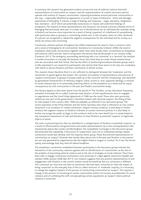In summary, this research has generated evidence across two eras of political violence that both representations of communities as 'suspect' and the implementation of counter-terrorism policies operate with notions of 'suspect communities'. Imposing boundaries around particular communities in this way – supposedly identified by appearance or accent or types of behaviour - limits and damages experiences of belonging. It induces a range of feelings and responses – anger, alienation, resignation, fear, resistance – all of which are potentially exclusionary in impact and undermine feelings of acceptance. The impacts of these representations and measures can include a process whereby forms of belonging that previously were part of a wider set of identifications for an individual (for example, being a Muslim) can become more important as a result of being 'suspected' of a likelihood of sympathising with (particular ideas or groups) or committing violent acts. In this situation when no other attributes of a person are recognised or valued the negative consequences for the individual and for society as a whole are serious and concerning.

Community cohesion policies throughout the 2000s emphasised the need to 'have a common vision and a sense of belonging for all communities' (*Guidance on Community Cohesion* 2008), the need to emphasise 'what binds communities together rather than what divides them' (*Commission on Integration and Cohesion* 2007) and the 'need to bring down the barriers that divide people in our country today' (Cameron, 2011). The ambiguity surrounding identifying who is an 'extremist' or a 'terrorist' has resulted in hostile encounters in everyday life between those who think they are under threat towards those who are associated with that threat. This has the effect of reinforcing boundaries between groups and is vividly expressed in our research by participants who lament that there seems to be only one vocabulary with which to discuss Muslims and their contribution to British society.

This research shows therefore that it is not sufficient to distinguish between the 'moderates' and the 'extremists' to guard against this impact. The constant recirculation of representations and practices of 'suspect communities' as groups of people made up of the 'innocent' and the 'threatening', and identified by generalised characteristics of ethnicity, religion, colour, accent or, now, supposed ideology, is inimical to social cohesion due to its potentially polarising effects on the population as a whole and its unjust consequences for Irish communities in the past and Muslim communities today.

Few lessons appear to have been learnt from the period of 'The Troubles', as key informants frequently remarked. Eventually the so-called 'irrational, mad, fanatics' of Irish republicanism were re-engaged in negotiations and the Good Friday Agreement of 1998 was the result. Those who were previously vilified are now part of the government in Northern Ireland with electoral support. The lifting of fear for Irish people in this country after 1998 was palpable, as reflected in our discussion groups. The recent assertions of the Prime Minister and the Home Secretary that what is referred to as 'non-violent extremism' is an incubator of 'violent extremism', despite contrary evidence, is only likely to further reinforce the negative impacts on Muslims in Britain of counter-terrorism policies. It is also likely to further encourage the public at large, on this evidence, both to be more fearful (as it is rarely linked to any transparent assessment of risk) and therefore to treat Muslims as potential 'suspects' or legitimate objects of abuse.

The main counteracting force that we identified to a categorisation of Muslims as potential 'suspects', as a result of official policies and government and media representations, lay in the cosmopolitanism that characterises places like London and Birmingham. The sympathetic exchanges in the discussion groups demonstrated this repeatedly. If discourses of 'suspectness' were not so widespread perhaps deeper connections would also develop with the majority ethnic group. These documented representations of communities as 'suspect' illustrate that hostile ideas about Irish in the past and Muslims in the present are not only generated by organisations like the English Defence League or Combat 18, in fact the former openly acknowledge that they feed off tabloid headlines.

The empathetic connections established between participants in the discussion groups indicate the limitations of the community cohesion agenda with its identification of 'communities' as the site of the problem of preventing political violence and as the site of strategies of social cohesion. There have been calls to engage community involvement more positively in a fight against extremism (Spalek and Lambert 2008, Jackson 2008, Bari 2011). Our research suggests that any positive representations of and engagement with Muslims in the current context would be beneficial. But our conclusion is different. This is because our focus has not been on extremism. We have been concerned to chart the impact of being 'suspected' on the everyday lives of the so-called 'innocent' or 'moderate' majority. It is necessary to change the negative impacts of the process of constructing communities as 'suspect'. This requires a change in the practice of conceiving of certain communities within civil society as problematic for social cohesion and of conflating this with conceptualising certain populations as 'suspect' where political violence is concerned.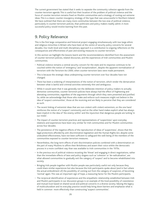The current government has stated that it seeks to separate the community cohesion agenda from the counter-terrorism agenda. This is useful but their location of the problem of political violence and the focus of counter-terrorism remains fixed on Muslim communities and a strategy of rooting out extreme ideas. This is a classic counter-insurgency strategy of the type that was unsuccessful in Northern Ireland. We have outlined that there are many more continuities between the two eras of political violence, particularly in counter-terrorism policies, than politicians and policy makers readily admit. A more successful policy would involve learning from this past.

# 9. Policy Relevance

This is the first large comparative and historical project engaging simultaneously with two large ethnic and religious minorities in Britain who have been at the centre of security policy concerns for several decades. Our multi-level and multi-disciplinary approach is a contribution to ongoing reflections on the consequences and effectiveness of past and existing measures to counter-terrorism.

In this section we highlight the lessons learnt and the recommendations identified from the assessment of counter-terrorism policies, related discourses, and the experiences of Irish communities and Muslim communities.

- Political violence remains a central security concern for the state and its response continues to be couched within the notion of 'emergency' and 'exceptionalism', despite the apparent normalisation of terrorism with the Terrorism Act 2000, when counter-terrorism laws were made permanent.
- This is because the strategic ideas underpinning counter-terrorism over four decades have not changed.
- There has been a widening of interpretations of the notion of terrorism, which render the demarcation between what is lawful and criminal activities extremely thin and ambiguous.
- While it would seem that it was generally not the deliberate intention of policy-makers to actually demonise communities, counter-terrorism policies have always had the effect of frightening and alienating communities, regardless of the arguments through which they were presented and justified. So, while we acknowledge that those who make and enforce such measures might not believe in the idea of 'suspect communities', those at the receiving end are likely to perceive that they are considered as such.
- The recent linking of extremist ideas that are non-violent with violent extremism, on the one hand reinforces the notion of a 'suspect' community and on the other hand makes explicit what has always been implicit in the idea of 'the enemy within' and the injunction that dangerous people are lurking 'in our midst'.
- The impact of counter-terrorism practices and representations of 'suspectness' upon everyday relations and experiences have been very similar for Irish communities and for Muslim communities across four decades.
- The persistence of the negative effects of the reproduction of ideas of 'suspectness', shows that the legal protections afforded by anti-discrimination legislation and the Human Rights Act, despite some undoubted effectiveness, have not been sufficient to safeguard the well-being of the members of the communities exposed to counter-terrorism measures.
- Nevertheless, the long-term effects of anti-discrimination policies combined with a determination on the part of many Muslims to affirm their Britishness and assert their voice within the democratic process in a more confident way than was available to Irish communities in the 1970s.
- In the previous era of political violence recasting the 'threat' and engaging in direct negotiations, rather than the immediate effects of laws and policy slogans such as 'cohesion' or 'de-radicalisation', are what allowed communities to gradually exit the category of 'suspect' and to become rehabilitated into society.
- Bringing Irish people together with Muslim people was particularly useful not only because they could share similar experiences but also because the Irish participants spoke about (and in fact where the actual embodiment of) the possibility of coming out from the category of suspicion, of becoming 'normal' again. This was an important sign of hope, a reassuring factor for the Muslim participants.
- The reciprocal identification of experiences and the empathetic relationship established between Irish and Muslim participants in our discussion groups is on example of the lived possibility of coexistence and mutual trust based on shared social and political concerns in a diverse society. Valuing the legacy of multiculturalism and its everyday practice would help bring down barriers and emphasise what is held in common more effectively than constructing 'suspect communities'.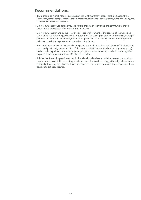# Recommendations:

- There should be more historical awareness of the relative effectiveness of past (and not just the immediate, recent past) counter-terrorism measures, and of their consequences, when developing new frameworks to counter-terrorism.
- Greater awareness of, and sensitivity to possible impacts on individuals and communities should underpin the formulation of counter-terrorism policies.
- Greater awareness in and by the press and political establishment of the dangers of characterising communities as 'harbouring extremists', as responsible for solving the problem of terrorism, or as split between the innocent, law-abiding, moderate majority and the extremist, criminal minority, would help to diminish the negative focus on Muslim communities..
- The conscious avoidance of extreme language and terminology such as 'evil', 'perverse', 'barbaric' and so on, and particularly the association of these terms with Islam and Muslim/s (or any other group), in the media, in political commentary and in policy documents would help to diminish the negative impacts of such representations on Muslim communities.
- Policies that foster the practices of multiculturalism based on less bounded notions of communities may be more successful in promoting social cohesion within an increasingly ethnically, religiously and culturally diverse society, than the focus on suspect communities as a source of and responsible for a solution to political violence.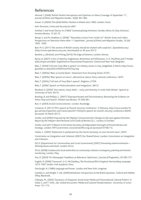### References

Ahmad, F. (2006) 'British Muslim Perceptions and Opinions on News Coverage of September 11', *Journal of Ethnic and Migration Studies,* 32(6): 961-982.

Ansari, H. (2004) *The Infidel Within: Muslims in Britain since 1800.* London: Hurst.

*Anti-Terrorism, Crime and Security Act 2001*

Anthias F. and Yuval-Davies, N. (1983) 'Contextualizing Feminism: Gender, Ethnic & Class divisions', *Feminist Review,* 15: 62-75.

Banaji, S. and Al-Ghabban, A. (2006) '"Neutrality Comes From Inside Us": British-Asian and Indian Perspectives on Television News after 11 September', *Journal of Ethnic and Migration Studies,* 32 (6): 1005 -1026.

Bari, M. A. (2011) 'No section of British society should be treated with suspicion', *OpenDemocracy* (http://www.opendemocracy.net, downloaded on 26 June 2011)

Bartlett, J, J.Birdwell, and M.King (2010) *The Edge of Violence*, London: Demos.

Byrne, B. (2007) 'Crisis of Identity: Englishness, Britishness and Whiteness', in G. MacPhee and P. Poddar (eds) *Empire and After: Englishness in Postcolonial Perspective.* Oxford and New York: Berghahn.

Blair, T. (2004) 'Full text: Tony Blair's speech' on military action in Iraq, Sedgefield, 4 March, http://www. guardian.co.uk/politics/2004/mar/05/iraq.iraq

Blair, T. (2005a) 'Blair on bomb blasts'. Statement from Downing Street, 07/07.

Blair, T. (2005b) 'Blair speech on terror', delivered at Labour Party national conference, 16/07.

Blair, T. (2005c) 'Full text of Tony Blair's speech', Brighton, 27/09.

Blair, T. (2006) 'Speech on Multiculturalism and Integration', 08/12.

Blunkett, D. (2003) 'One nation, many faiths – unity and diversity in multi-faith Britain', Speech at University of York, 30/10.

Bowling, B. and Phillips, C. (2007) 'Disproportionate and Discriminatory: Reviewing the Evidence on Police Stop and Search', *Modern Law Review*, 70: 936-961.

Burr, V. (2003) *Social Constructionism.* London: Routledge.

Cameron, D. (2011) 'PM's speech at Munich Security Conference', 5 February, http://www.number10. gov.uk/news/speeches-and-transcripts/2011/02/pms-speech-at-munich-security-conference-60293 (accessed 10 March 2011).

Carlile, Lord (2005) *Proposals by Her Majesty's Government for Changes to the Laws against Terrorism. Report by the Indepen-dent Reviewer Lord Carlile of Berriew Q.C*., London, 6 October.

Carlile, Lord (2011) *Report to the Home Secretary of Independent Oversight of Prevent Review and Strategy,* London: HM Government, www.homeoffice.org.uk (accessed 07/06/11).

Clarke, C. (2005) 'Statement to parliament by the Home Secretary on new terrorist laws', 20/07.

Commission on Integration and Cohesion (2007) *Our Shared Future.* London: Commission on Integration and Cohesion.

DCLG (Department for Communities and Local Government) (2007) *Preventing violent extremism – Winning hearts and minds*. London: DCLG.

DCLG (2008) *Guidance for local authorities on community cohesion contingency planning and tension monitoring.* London, May.

Dor, D. (2003) 'On Newspaper Headlines as Relevance Optimizers', *Journal of Pragmatics*, 35: 695-721.

English, R. (2006) 'Foreword', in G. McGladdery, *The Provisional IRA in England: the bombing campaign 1973–1997*, Dublin: Irish Academic Press.

Fairclough, N. (1989) *Language and Power,* London and New York: Longman.

Gamble, A. and Wright, T. eds. (2009) *Britishness: Perspectives on the British Question,* Oxford and Malden: Wiley Blackwell.

Gillespie, M., (2002) 'Dynamics of Diasporas: South Asian Media and Transnational Cultural Politics' in Stald, G. and T. Tufte., eds. *Global Encounters: Media and Cultural Transformations.* University of Luton Press: 151-173.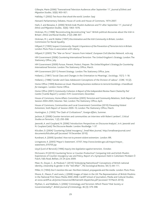Gillespie, Marie (2006) 'Transnational Television Audiences after September 11', *Journal of Ethnic and Migration Studies,* 32(6): 903–921.

Halliday. F. (2002) *Two hours that shook the world. London:* Saqi

*Hansard*, Parliamentary Debates, House of Lords and House of Commons, 1974-2007.

Harb, Z. and Bessaiso, E. (2006) 'British Arab Muslim Audiences and TV after September 11', *Journal of Ethnic and Migration Studies,* 32(6): 1063-1076.

Hickman, M.J. (1998) 'Reconstructing deconstructing "race": British political discourses about the Irish in Britain', *Ethnic and Racial Studies*, 21(2): 288-307.

Hickman, M. J. and B. Walter (1997) *Discrimination and the Irish Community in Britain,* London: Commission for Racial Equality.

Hillyard, P. (1993) *Suspect Community: People's Experience of the Prevention of Terrorism Acts in Britain.*  London: Pluto Press in association with Liberty.

Hillyard, P. (2005) 'The "War on Terror": lessons from Ireland', *European Civil Liberties Network,* ecln.org

HM Government (2006) *Countering International Terrorism:* The United Kingdom's Strategy. London: The Stationery Office, July.

HM Government (2009) *Pursue, Prevent, Protect, Prepare. The United Kingdom's Strategy for Countering International Terrorism.* London: The Stationery Office, March.

HM Government (2011) *Prevent Strategy.* London: The Stationery Office, June.

Holland, J. (1981) 'Social Class and Changes in the Orientation to Meanings', *Sociology*, 15(1): 1-18.

Holland, J. (1986) 'Gender and Class: Adolescent Conceptions of the Division of Labour'. *CORE*, 10 (2).

Home Office (1999) *Business as Usual. Maximising business resilience to terrorist bombings. A handbook for managers.* London: Home Office.

Home Office (2001) *Community Cohesion: A Report of the Independent Review Team Chaired by Ted Cantle* ('Cantle Report'), London: H.M. Government, December.

House of Commons, Home Affairs Committee (2005) *Terrorism and Community Relations*, Sixth Report of Session 2004-2005, Volumes 1&2, London: The Stationery Office, April.

House of Commons, Communities and Local Government Committee (2010) *Preventing Violent Extremism*, Sixth Report of Session 2009–10, London: The Stationery Office, March.

Huntington, S. (1993) 'The Clash of Civilizations?', *Foreign Affairs*, Summer.

Jackson, R. (2008) Counter-terrorism and communities: an interview with Robert Lambert', *Critical Studies on Terrorism*, 1 (2): 293-308.

Jaworski, A. and Coupland, N. (2006) 'Introduction: Perspectives on Discourse Analysis', in A. Jaworski and N. Coupland (eds) *The Discourse Reader*. London: Routledge: 1-37.

Kilcullen, D. (2004) 'Countering Global Insurgency', *Small Wars Journal,* http://smallwarsjournal.com/ documents/kilcullen.pdf (accessed 19 December 2010).

Kundnani, A. (2009) *Spooked. How not to prevent violent extremism.* London: IRR.

Livingstone, K. (2005) 'Mayor's Statement', 07/07, http://www.london.gov.uk/mayor/mayor\_ statement\_070705.jsp

Lloyd (Lord of Berwick) (1996) *Inquiry into legislation against terrorism,* October.

McGovern, M (2010) Countering Terror or Counter-Productive? Comparing Irish and british Muslim Experiences of Counter-insurgency Law and Policy, Report of a Symposium held in Cultúrlann McAdam Ó Fiaich, Falls Road, Belfast, 23-24 June 2009.

Meer, N., Dwyer, C., & Modood, T. (2010) 'Embodying Nationhood? Conceptions of British national identity, citizenship & gender in the "Veil Affair"', *The Sociological Review*, 58 (1): 84-111.

Miller, D. (1994) *Don't mention the war: Northern Ireland, propaganda and the media. London: Pluto Press.* 

Moore, K., Mason, P. and Lewis, J. (2008) Images of Islam in the UK: The Representation of British Muslims in the National Print News Media 2000-2008. Cardiff School of Journalism, Media and Cultural Studies; at www.cardiff.ac.uk/jomec/resources/08channel4-dispatches.pdf (accessed 19 March 2010).

Mythen, G. and Walklate, S. (2006) 'Criminology and Terrorism. Which Thesis? Risk Society or Governmentality?', *British Journal of Criminology*, 46 (3): 379-398.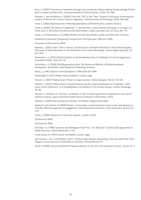Noor, H. (2007) 'Assertions of identities through news production: News-making among teenage Muslim girls in London and New York', *European Journal of Cultural Studies*, 10 (3): 374-388

Pantazis, C. and Pemberton, S. (2009) 'From the "Old" to the "New" Suspect Community. Examining the Impacts of Recent UK Counter-Terrorist Legislation', *British Journal of Criminology,* 49(5): 646-666.

Poole, E. (2002) *Reporting Islam: Media Representations of British Muslims*. London: IB Tauris.

Poole, E. (2006) 'The Effects of September 11 and the War in Iraq on British Newspaper Coverage', in E. Poole, and J. E. Richardson *Muslims and the News Media.* London and New York: I.B. Tauris: 89-115.

Poole, E. and Richardson, J. E. (2006) *Muslims and the News Media*. London and New York: I.B. Tauris.

*Prevention of Terrorism (Temporary Provisions) Act 1974* (and also 1984 and 1989)

*Prevention of Terrorism Act 2005.*

Rehman, J. (2007) 'Islam, "War on Terror" and the Future of Muslim Minorities in the United Kingdom: Dilemmas of Multiculturalism in the Aftermath of the London Bombings', *Human Rights Quarterly*, 29: 831-878.

Richardson, J. E. (2001) 'British Muslims in the Broadsheet Press: A Challenge to Cultural Hegemony?', *Journalism Studies,* 2(2): 221-42.

Richardson, J. E. (2004) *(Mis)Representing Islam: The Racism and Rhetoric of British Broadsheet Newspapers.* Amsterdam: John Benjamins Publishing Company.

Rowe, J.J. (1997) *Report on the Operation in 1996 of the PTA 1989.*

Schlesinger, P. (1991) *Media, State and Nation*. London: Sage.

Silvestri, S. (2007) 'Radical Islam: Threats & Opportunities', *Global Dialogue,* 9(3-4):118-126.

Silvestri, S. (2010) 'Public policies towards Muslims and the institutionalization of "moderate" Islam: some critical reflections', in A.Triandafyllidou, ed. *Muslims in 21st Century Europe.* London: Routledge: 45-58.

Silvestri, S., Hickman, M., Thomas, L. & Nickels, H. (2011) 'British government responses in two eras of political violence', paper presented at BISA annual conference, Manchester, 27/04.

Solomos, J. (2003) *Race and Racism in Britain,* 3rd Edition. Palgrave Macmillan.

Spalek, B. and Lambert, B. (2008) 'Muslim communities, counter-terrorism and counter-radicalisation: A critically reflective approach to engagement', *International Journal of Law, Crime and Justice,* 36 (4): 257- 270.

Straw, J. (1999) 'Prevention of Terrorism Speech', London, 16/03.

*Terrorism Act 2000.*

*Terrorism Act 2006.*

Van Dijk, T. A. (1998) 'Opinions and Ideologies in the Press', in A. Bell and P. Garrett (eds) *Approaches to Media Discourse.* Oxford: Blackwell: 21-63.

Yuval-Davies, N. (1997) *Gender and Nation,* London: Sage.

Van Zoonen, L, Vis, F. and Mihelj, S. (2011, forthcoming) 'Women responding to the anti-Islam film Fitna: religious voices and acts of citizenship on YouTube', *Feminist Review*, 97.

Ward, P. (2008) 'Call yourself British? National Identity in the UK in the Twentieth Century', *Cycnos* 25: 2.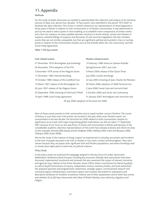# 11. Appendix

#### **Methods**

For the study of public discourses we needed to operationalise the collection and analysis of an immense amount of data, over almost four decades. 19 'key events' were identified in the period 1974-2007 to facilitate the data collection. This choice is neither exhaustive nor representative of what happened in those years in Britain in relation to Irish communities or to Muslim communities. It was determined in part by the need to select points in time enabling us to establish some comparisons of similar events and crises. For instance, we drew parallels between reactions to bomb attacks, arrests and releases of suspects, unlawful killings of suspects and discussion of anti-terrorism legislation. We also included events that are not strictly comparable, but that are significant political and symbolic crises or turning points in relation to the communities studied, such as the Rushdie affair, the 'veil controversy' and the Good Friday Agreement.

**Table 1: The key events**

| Irish-related events                            | <b>Muslim-related events</b>                      |  |  |
|-------------------------------------------------|---------------------------------------------------|--|--|
| 21 November 1974: Birmingham pub bombings       | 14 February 1989: fatwa on Salman Rushdie         |  |  |
| 29 November 1974: adoption of the PTA           | Spring/Summer 2001: race riots                    |  |  |
| 3 December 1974: arrest of the Maguire Seven    | 9 March 2004: release of the Tipton Three         |  |  |
| 17 December 1983: Harrods Bombing               | July 2005: London bombings                        |  |  |
| 19 October 1989: release of the Guildford Four  | 22 July 2005: shooting of Jean-Charles De Menezes |  |  |
| 14 March 1991: release of the Birmingham Six    | 30 March 2006: adoption of 2006 Terrorism Act     |  |  |
| 26 June 1991: release of the Maguire Seven      | 2 June 2006: Forest Gate anti-terrorist Raid      |  |  |
| 23 September 1996: shooting of Diarmuid O'Neill | 5 October 2006: Jack Straw veil controversy       |  |  |
| 10 April 1998: Good Friday Agreement            | 31 January 2007: Birmingham anti-terrorism raid   |  |  |
|                                                 |                                                   |  |  |

20 July 2000: adoption of Terrorism Act 2000

Nine of these events pertain to Irish communities and an equal number concern Muslims. The course of history is such that most 'Irish events' are located in the past while most 'Muslim events' are concentrated in the last decade. The Terrorism Act 2000 related to both communities. Despite its significance as an event with major long-lasting global implications, we did not select 11 September 2001 because of our focus on the specificity of events and communities in Britain and because of the considerable academic attention representations of this event have already received, and which we draw on (for example, Ahmad 2006, Banaji and Al-Ghabban 2006, Halliday 2002, Harb and Bessaiso 2006, Gillespie 2006, Poole 2006).

We set the study of the impacts of being 'suspect' as experienced in everyday encounters and incidents in the lives of people assumed to be Irish or Muslim in two cities: London and Birmingham. They were chosen because they are places with significant Irish and Muslim populations, and where bombings and/ or arrests have taken place in both eras of political violence.

#### *Policy Study*

In the policy study we examined the language adopted in the key forum for public democratic deliberation, Parliament (both houses), including the processes whereby laws and policies have been discussed, implemented, monitored and reviewed. We also examined the output of relevant ministries and agencies (e.g. Cabinet of the Prime Minister, Home Office; Police; Commission for Racial Equality), as well as Royal Commissions of inquiry, independent reviews, statutory bodies, and local authorities. We analysed speeches and programmatic statements, strategic papers, commissioned research and command papers, Parliamentary committee reports and minutes. We looked for substantive and descriptive attributes of incidents of political violence and of their perpetrators and of other key events, and whether (if at all) they intersected with ideas of British identity, race, ethnicity, migration and religion.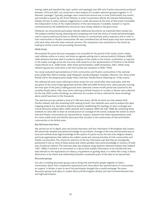Having coded and classified (by topic, author, and typology) over 800 sets of policy documents produced between 1974 and 2007, we conducted a close analysis of a smaller selection grouped together in 13 thematic 'packages'. Typically, packages were constructed around one or more (interlocked) 'key events', and included: a speech by the Prime Minister or other Government official, the relevant Parliamentary Debate; the law or policy measure triggered by or under discussion at the time of that event; if available, the independent review of the implementation of the said measure; if available, research or reports commissioned by the establishment around an issue closely related to the given event.

Whenever we encountered particularly relevant additional documents we examined them closely too. The analysis entailed tracing, dissecting and comparing over time the choice of words and phraseologies used to express political priorities, to identify threats, to communicate policy responses, and to refer to Irish communities or Muslim communities. We also considered how all these layers may have intersected with each other and with other external concerns. The comparison was conducted on two levels: by looking at similar events and proceeding thematically.

#### *Media Study*

We analysed the press because newspapers are accessible for the period of the study, remain widely read, whether online or in print, and retain an agenda-setting role in national politics (Gillespie 2006). Little attention has been paid in academic analyses of the media to the echoes, continuities, or ruptures in the media coverage across the two eras, with research on the representation of Muslims in the British media (Moore et al., 2008; Poole, 2002; Poole and Richardson, 2006; Richardson, 2001, 2004) rarely referencing previous work done in the Irish context (an exception is Miller 1994).

Our study evaluated representations of Irish communities and Muslim communities in the national press *(Daily Mail, Mail on Sunday, Daily Telegraph, Sunday Telegraph, Guardian, Observer, Sun, News of the World)* and in the diaspora press *(Asian Times, Irish Post, Muslim News)* following our 19 key events.

We collected all news items referring to these events for one month after they took place, with the exception of the Good Friday Agreement and the 2000 and 2006 Terrorism Acts, where periods covering the time span of the policy making process were collected; a three-month period was covered for the monthly *Muslim News*. Only news items referring to British Muslims or to Islam in Britain were collected for the July 2005 London bombings, as otherwise the number of items collected for these bombings alone would have been in the thousands.

This selection process yielded a total of 2,798 news items, 39.4% of which are Irish-related, 60% Muslim-related, with the remaining 0.6% relating to both. Two methods were used to analyse this data: mapping analysis (i.e. descriptive statistical analysis establishing the typology of news coverage) and critical discourse analysis (Burr, 2003; Jaworski and Coupland, 2006; Van Dijk 1998). By combining these methods we were able to draw an overall picture of coverage of the events; evaluate the extent to which Irish and Muslim communities are represented as 'suspect'; examine how these representations work at a more subtle level; and identify discourses that circulate in the construction of Irish and Muslim communities in the British press.

#### *Key Informant Interviews*

We carried out 42 in-depth, semi-structured interviews with key informants in Birmingham and London. We selectively sampled specialised knowledge of: journalistic coverage of the eras; elected politicians at local and national level; legal knowledge of the system of justice across the two eras; religious leaders; and local organisations that address the welfare needs and cultural activities of Irish communities and Muslim communities. The criteria for selection of the key informants was that they be strategically positioned in one or more of these arenas and, where possible, have some knowledge or memory of both eras of political violence. The interview data was analysed using Systemic Network Analysis (see Holland 1981, 1986). A network is an instrument or a device that enables information to be transformed into data relevant to the exploration of a theory, a hypothesis or guiding ideas; it is rather like a map, it allows distinctions to be drawn and relationships between constituent parts of the data to be represented.

#### *Discussion groups*

Our aim in holding discussion groups was to bring Irish and Muslim people together to hold a conversation about their comparative experiences and views about the representation of communities as 'suspect' in Britain, in part to see if the participants thought this a useful exchange. The seven discussion groups took place in London (four) and Birmingham (three), and each involved between four and eight participants.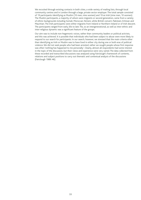We recruited through existing contacts in both cities, a wide variety of mailing lists, through local community centres and in London through a large, private sector employer. The total sample consisted of 19 participants identifying as Muslim (10 men, nine women) and 19 as Irish (nine men, 10 women). The Muslim participants, a majority of whom were migrants or second generation, came from a variety of ethnic backgrounds including Somali, Moroccan, Yemeni, white British convert, Pakistani, Eritrean and Mauritian. The Irish participants were either migrants from Ireland or Northern Ireland or of Irish descent. The participants ranged from early 20s to late 70s, so an intergenerational, as well as inter-ethnic and inter-religious dynamic was a significant feature of the groups.

Our aim was to include non-hegemonic voices, rather than community leaders or political activists, and this was achieved. It is possible that individuals who had been subject to abuse were more likely to respond to our search for participants. In our search, however, we stressed that the main criteria other than identifying as Irish or Muslim was to have lived in either city during one or both eras of political violence. We did not seek people who had been arrested, rather we sought people whose first response was often 'nothing has happened to me personally'. Clearly, almost all respondents had some interest in the topic of the discussion, but their views and experience were very varied. The data collected from these recorded and transcribed discussions was analysed using Fairclough's framework of contents, relations and subject positions to carry out thematic and contextual analysis of the discussions (Fairclough 1989: 46).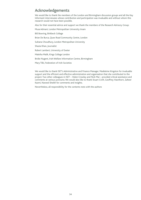# Acknowledgements

We would like to thank the members of the London and Birmingham discussion groups and all the Key Informant interviewees whose contribution and participation was invaluable and without whom this research would not have been possible.

Also for their essential advice and support we thank the members of the Research Advisory Group:

Musa Admani, London Metropolitan University Imam

Bill Bowring, Birkbeck College

Brian De Burca, Quex Road Community Centre, London

Sultana Choudhury, London Metropolitan University

Shazia Khan, Journalist

Robert Lambert, University of Exeter

Maleiha Malik, Kings College London

Bridie Nugent, Irish Welfare Information Centre, Birmingham

Mary Tilki, Federation of Irish Societies

We would like to thank ISET's Administrative and Finance Manager, Madeleine Kingston for invaluable support and the efficient and effective administration and organisation that she contributed to the project. Two other colleagues in ISET – Helen Crowley and Nick Mai – provided critical assistance and comments at various junctures. We would also like to thank Stuart Croft, Geoffrey Hawthorn, Zaheer Kazmi, Naveed Sheikh for comments and insights.

Nevertheless, all responsibility for the contents rests with the authors